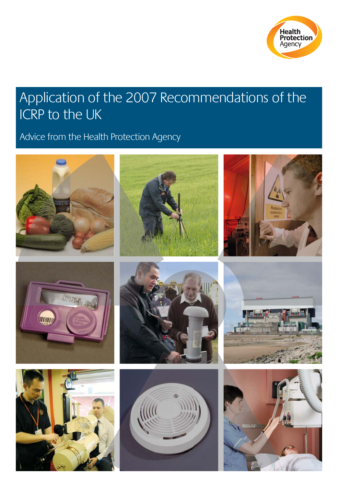

# Application of the 2007 Recommendations of the ICRP to the UK

# Advice from the Health Protection Agency

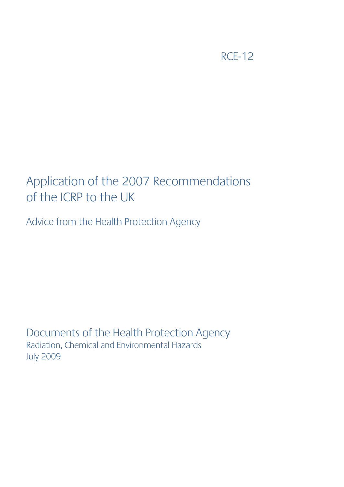RCE-12

# Application of the 2007 Recommendations of the ICRP to the UK

Advice from the Health Protection Agency

Documents of the Health Protection Agency Radiation, Chemical and Environmental Hazards July 2009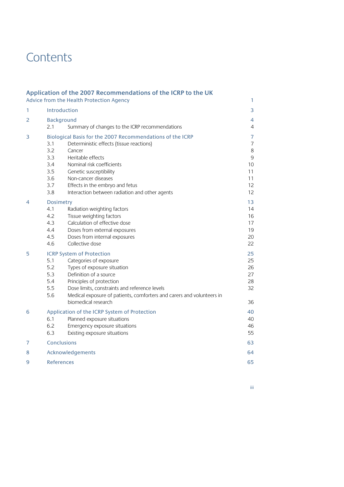# **Contents**

|   |                                                      | Application of the 2007 Recommendations of the ICRP to the UK<br>Advice from the Health Protection Agency                                                                                                                                                                                               | 1                                                                              |
|---|------------------------------------------------------|---------------------------------------------------------------------------------------------------------------------------------------------------------------------------------------------------------------------------------------------------------------------------------------------------------|--------------------------------------------------------------------------------|
| 1 | Introduction                                         |                                                                                                                                                                                                                                                                                                         | 3                                                                              |
| 2 | <b>Background</b>                                    |                                                                                                                                                                                                                                                                                                         | 4                                                                              |
|   | 2.1                                                  | Summary of changes to the ICRP recommendations                                                                                                                                                                                                                                                          | $\overline{4}$                                                                 |
| 3 | 3.1<br>3.2<br>3.3<br>3.4<br>3.5<br>3.6<br>3.7<br>3.8 | Biological Basis for the 2007 Recommendations of the ICRP<br>Deterministic effects (tissue reactions)<br>Cancer<br>Heritable effects<br>Nominal risk coefficients<br>Genetic susceptibility<br>Non-cancer diseases<br>Effects in the embryo and fetus<br>Interaction between radiation and other agents | $\overline{7}$<br>$\overline{7}$<br>$\,8\,$<br>9<br>10<br>11<br>11<br>12<br>12 |
| 4 | Dosimetry<br>4.1<br>4.2<br>4.3<br>4.4<br>4.5<br>4.6  | Radiation weighting factors<br>Tissue weighting factors<br>Calculation of effective dose<br>Doses from external exposures<br>Doses from internal exposures<br>Collective dose                                                                                                                           | 13<br>14<br>16<br>17<br>19<br>20<br>22                                         |
| 5 | 5.1<br>5.2<br>5.3<br>5.4<br>5.5<br>5.6               | <b>ICRP System of Protection</b><br>Categories of exposure<br>Types of exposure situation<br>Definition of a source<br>Principles of protection<br>Dose limits, constraints and reference levels<br>Medical exposure of patients, comforters and carers and volunteers in<br>biomedical research        | 25<br>25<br>26<br>27<br>28<br>32<br>36                                         |
| 6 | 6.1<br>6.2<br>6.3                                    | Application of the ICRP System of Protection<br>Planned exposure situations<br>Emergency exposure situations<br>Existing exposure situations                                                                                                                                                            | 40<br>40<br>46<br>55                                                           |
| 7 | <b>Conclusions</b>                                   |                                                                                                                                                                                                                                                                                                         | 63                                                                             |
| 8 | Acknowledgements                                     |                                                                                                                                                                                                                                                                                                         |                                                                                |
| 9 | <b>References</b>                                    |                                                                                                                                                                                                                                                                                                         | 65                                                                             |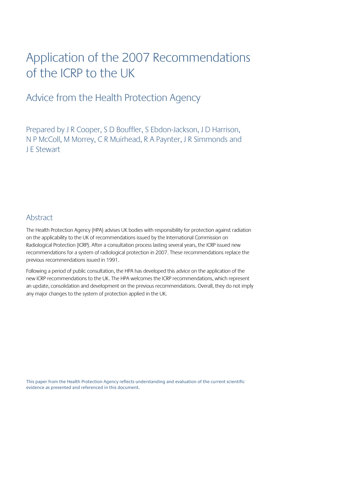# Application of the 2007 Recommendations of the ICRP to the UK

# Advice from the Health Protection Agency

Prepared by J R Cooper, S D Bouffler, S Ebdon-Jackson, J D Harrison, N P McColl, M Morrey, C R Muirhead, R A Paynter, J R Simmonds and J E Stewart

### **Abstract**

The Health Protection Agency (HPA) advises UK bodies with responsibility for protection against radiation on the applicability to the UK of recommendations issued by the International Commission on Radiological Protection (ICRP). After a consultation process lasting several years, the ICRP issued new recommendations for a system of radiological protection in 2007. These recommendations replace the previous recommendations issued in 1991.

Following a period of public consultation, the HPA has developed this advice on the application of the new ICRP recommendations to the UK. The HPA welcomes the ICRP recommendations, which represent an update, consolidation and development on the previous recommendations. Overall, they do not imply any major changes to the system of protection applied in the UK.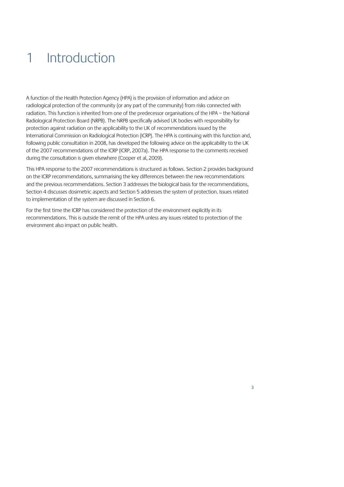# 1 Introduction

A function of the Health Protection Agency (HPA) is the provision of information and advice on radiological protection of the community (or any part of the community) from risks connected with radiation. This function is inherited from one of the predecessor organisations of the HPA – the National Radiological Protection Board (NRPB). The NRPB specifically advised UK bodies with responsibility for protection against radiation on the applicability to the UK of recommendations issued by the International Commission on Radiological Protection (ICRP). The HPA is continuing with this function and, following public consultation in 2008, has developed the following advice on the applicability to the UK of the 2007 recommendations of the ICRP (ICRP, 2007a). The HPA response to the comments received during the consultation is given elsewhere (Cooper et al, 2009).

This HPA response to the 2007 recommendations is structured as follows. Section 2 provides background on the ICRP recommendations, summarising the key differences between the new recommendations and the previous recommendations. Section 3 addresses the biological basis for the recommendations, Section 4 discusses dosimetric aspects and Section 5 addresses the system of protection. Issues related to implementation of the system are discussed in Section 6.

For the first time the ICRP has considered the protection of the environment explicitly in its recommendations. This is outside the remit of the HPA unless any issues related to protection of the environment also impact on public health.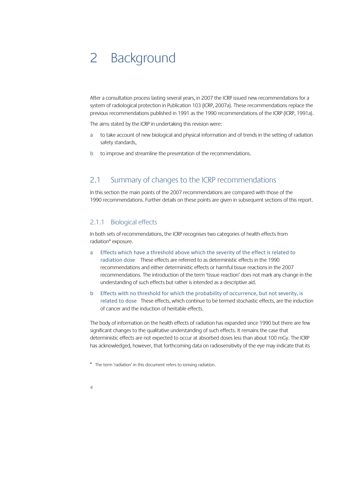# 2 Background

After a consultation process lasting several years, in 2007 the ICRP issued new recommendations for a system of radiological protection in Publication 103 (ICRP, 2007a). These recommendations replace the previous recommendations published in 1991 as the 1990 recommendations of the ICRP (ICRP, 1991a).

The aims stated by the ICRP in undertaking this revision were:

- a to take account of new biological and physical information and of trends in the setting of radiation safety standards,
- b to improve and streamline the presentation of the recommendations.

### 2.1 Summary of changes to the ICRP recommendations

In this section the main points of the 2007 recommendations are compared with those of the 1990 recommendations. Further details on these points are given in subsequent sections of this report.

#### 2.1.1 Biological effects

In both sets of recommendations, the ICRP recognises two categories of health effects from radiation\* exposure.

- a Effects which have a threshold above which the severity of the effect is related to radiation dose These effects are referred to as deterministic effects in the 1990 recommendations and either deterministic effects or harmful tissue reactions in the 2007 recommendations. The introduction of the term 'tissue reaction' does not mark any change in the understanding of such effects but rather is intended as a descriptive aid.
- b Effects with no threshold for which the probability of occurrence, but not severity, is related to dose These effects, which continue to be termed stochastic effects, are the induction of cancer and the induction of heritable effects.

The body of information on the health effects of radiation has expanded since 1990 but there are few significant changes to the qualitative understanding of such effects. It remains the case that deterministic effects are not expected to occur at absorbed doses less than about 100 mGy. The ICRP has acknowledged, however, that forthcoming data on radiosensitivity of the eye may indicate that its

\* The term 'radiation' in this document refers to ionising radiation.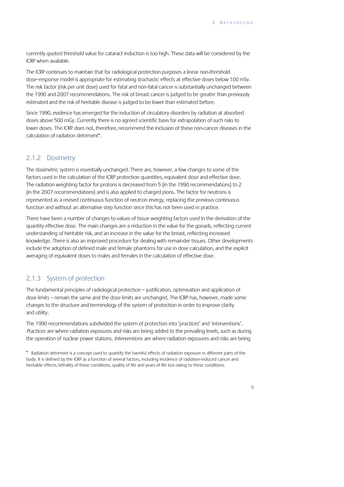currently quoted threshold value for cataract induction is too high. These data will be considered by the ICRP when available.

The ICRP continues to maintain that for radiological protection purposes a linear non-threshold dose–response model is appropriate for estimating stochastic effects at effective doses below 100 mSv. The risk factor (risk per unit dose) used for fatal and non-fatal cancer is substantially unchanged between the 1990 and 2007 recommendations. The risk of breast cancer is judged to be greater than previously estimated and the risk of heritable disease is judged to be lower than estimated before.

Since 1990, evidence has emerged for the induction of circulatory disorders by radiation at absorbed doses above 500 mGy. Currently there is no agreed scientific basis for extrapolation of such risks to lower doses. The ICRP does not, therefore, recommend the inclusion of these non-cancer diseases in the calculation of radiation detriment\*.

#### 2.1.2 Dosimetry

The dosimetric system is essentially unchanged. There are, however, a few changes to some of the factors used in the calculation of the ICRP protection quantities, equivalent dose and effective dose. The radiation weighting factor for protons is decreased from 5 (in the 1990 recommendations) to 2 (in the 2007 recommendations) and is also applied to charged pions. The factor for neutrons is represented as a revised continuous function of neutron energy, replacing the previous continuous function and without an alternative step function since this has not been used in practice.

There have been a number of changes to values of tissue weighting factors used in the derivation of the quantity effective dose. The main changes are a reduction in the value for the gonads, reflecting current understanding of heritable risk, and an increase in the value for the breast, reflecting increased knowledge. There is also an improved procedure for dealing with remainder tissues. Other developments include the adoption of defined male and female phantoms for use in dose calculation, and the explicit averaging of equivalent doses to males and females in the calculation of effective dose.

#### 2.1.3 System of protection

The fundamental principles of radiological protection – justification, optimisation and application of dose limits – remain the same and the dose limits are unchanged. The ICRP has, however, made some changes to the structure and terminology of the system of protection in order to improve clarity and utility.

The 1990 recommendations subdivided the system of protection into 'practices' and 'interventions'. Practices are where radiation exposures and risks are being added to the prevailing levels, such as during the operation of nuclear power stations. *Interventions* are where radiation exposures and risks are being

\* Radiation detriment is a concept used to quantify the harmful effects of radiation exposure in different parts of the body. It is defined by the ICRP as a function of several factors, including incidence of radiation-induced cancer and heritable effects, lethality of these conditions, quality of life and years of life lost owing to these conditions.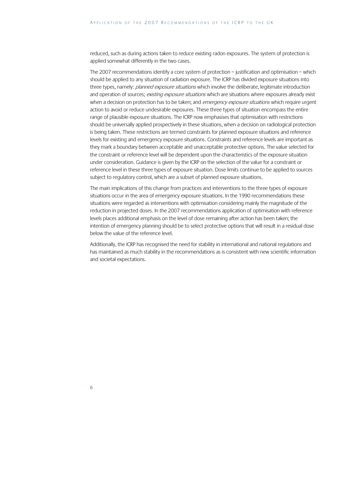reduced, such as during actions taken to reduce existing radon exposures. The system of protection is applied somewhat differently in the two cases.

The 2007 recommendations identify a core system of protection – justification and optimisation – which should be applied to any situation of radiation exposure. The ICRP has divided exposure situations into three types, namely: *planned exposure situations* which involve the deliberate, legitimate introduction and operation of sources; *existing exposure situations* which are situations where exposures already exist when a decision on protection has to be taken; and emergency exposure situations which require urgent action to avoid or reduce undesirable exposures. These three types of situation encompass the entire range of plausible exposure situations. The ICRP now emphasises that optimisation with restrictions should be universally applied prospectively in these situations, when a decision on radiological protection is being taken. These restrictions are termed constraints for planned exposure situations and reference levels for existing and emergency exposure situations. Constraints and reference levels are important as they mark a boundary between acceptable and unacceptable protective options. The value selected for the constraint or reference level will be dependent upon the characteristics of the exposure situation under consideration. Guidance is given by the ICRP on the selection of the value for a constraint or reference level in these three types of exposure situation. Dose limits continue to be applied to sources subject to regulatory control, which are a subset of planned exposure situations.

The main implications of this change from practices and interventions to the three types of exposure situations occur in the area of emergency exposure situations. In the 1990 recommendations these situations were regarded as interventions with optimisation considering mainly the magnitude of the reduction in projected doses. In the 2007 recommendations application of optimisation with reference levels places additional emphasis on the level of dose remaining after action has been taken; the intention of emergency planning should be to select protective options that will result in a residual dose below the value of the reference level.

Additionally, the ICRP has recognised the need for stability in international and national regulations and has maintained as much stability in the recommendations as is consistent with new scientific information and societal expectations.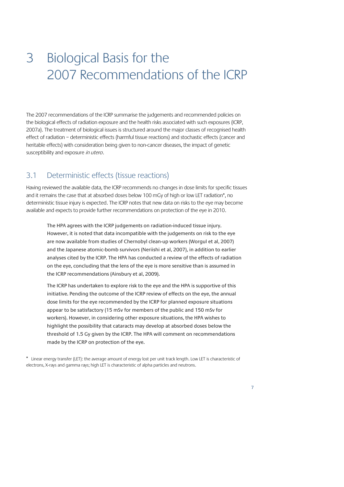# 3 Biological Basis for the 2007 Recommendations of the ICRP

The 2007 recommendations of the ICRP summarise the judgements and recommended policies on the biological effects of radiation exposure and the health risks associated with such exposures (ICRP, 2007a). The treatment of biological issues is structured around the major classes of recognised health effect of radiation – deterministic effects (harmful tissue reactions) and stochastic effects (cancer and heritable effects) with consideration being given to non-cancer diseases, the impact of genetic susceptibility and exposure in utero.

## 3.1 Deterministic effects (tissue reactions)

Having reviewed the available data, the ICRP recommends no changes in dose limits for specific tissues and it remains the case that at absorbed doses below 100 mGy of high or low LET radiation\*, no deterministic tissue injury is expected. The ICRP notes that new data on risks to the eye may become available and expects to provide further recommendations on protection of the eye in 2010.

The HPA agrees with the ICRP judgements on radiation-induced tissue injury. However, it is noted that data incompatible with the judgements on risk to the eye are now available from studies of Chernobyl clean-up workers (Worgul et al, 2007) and the Japanese atomic-bomb survivors (Neriishi et al, 2007), in addition to earlier analyses cited by the ICRP. The HPA has conducted a review of the effects of radiation on the eye, concluding that the lens of the eye is more sensitive than is assumed in the ICRP recommendations (Ainsbury et al, 2009).

The ICRP has undertaken to explore risk to the eye and the HPA is supportive of this initiative. Pending the outcome of the ICRP review of effects on the eye, the annual dose limits for the eye recommended by the ICRP for planned exposure situations appear to be satisfactory (15 mSv for members of the public and 150 mSv for workers). However, in considering other exposure situations, the HPA wishes to highlight the possibility that cataracts may develop at absorbed doses below the threshold of 1.5 Gy given by the ICRP. The HPA will comment on recommendations made by the ICRP on protection of the eye.

\* Linear energy transfer (LET): the average amount of energy lost per unit track length. Low LET is characteristic of electrons, X-rays and gamma rays; high LET is characteristic of alpha particles and neutrons.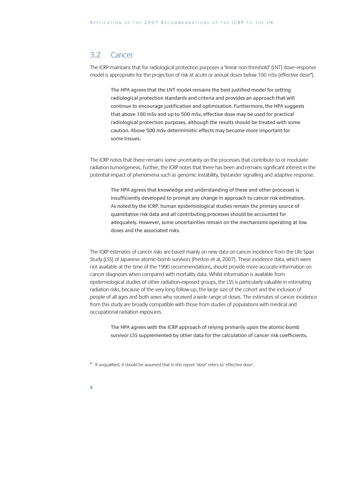### 3.2 Cancer

The ICRP maintains that for radiological protection purposes a 'linear non-threshold' (LNT) dose–response model is appropriate for the projection of risk at acute or annual doses below 100 mSv (effective dose\*).

The HPA agrees that the LNT model remains the best justified model for setting radiological protection standards and criteria and provides an approach that will continue to encourage justification and optimisation. Furthermore, the HPA suggests that above 100 mSv and up to 500 mSv, effective dose may be used for practical radiological protection purposes, although the results should be treated with some caution. Above 500 mSv deterministic effects may become more important for some tissues.

The ICRP notes that there remains some uncertainty on the processes that contribute to or modulate radiation tumorigenesis. Further, the ICRP notes that there has been and remains significant interest in the potential impact of phenomena such as genomic instability, bystander signalling and adaptive response.

The HPA agrees that knowledge and understanding of these and other processes is insufficiently developed to prompt any change in approach to cancer risk estimation. As noted by the ICRP, human epidemiological studies remain the primary source of quantitative risk data and all contributing processes should be accounted for adequately. However, some uncertainties remain on the mechanisms operating at low doses and the associated risks.

The ICRP estimates of cancer risks are based mainly on new data on cancer incidence from the Life Span Study (LSS) of Japanese atomic-bomb survivors (Preston et al, 2007). These incidence data, which were not available at the time of the 1990 recommendations, should provide more accurate information on cancer diagnoses when compared with mortality data. Whilst information is available from epidemiological studies of other radiation-exposed groups, the LSS is particularly valuable in estimating radiation risks, because of the very long follow-up, the large size of the cohort and the inclusion of people of all ages and both sexes who received a wide range of doses. The estimates of cancer incidence from this study are broadly compatible with those from studies of populations with medical and occupational radiation exposures.

The HPA agrees with the ICRP approach of relying primarily upon the atomic-bomb survivor LSS supplemented by other data for the calculation of cancer risk coefficients.

\* If unqualified, it should be assumed that in this report 'dose' refers to 'effective dose'.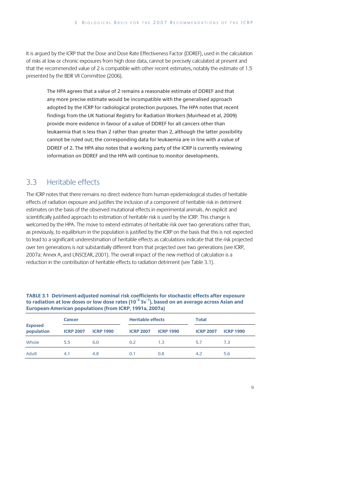It is argued by the ICRP that the Dose and Dose Rate Effectiveness Factor (DDREF), used in the calculation of risks at low or chronic exposures from high dose data, cannot be precisely calculated at present and that the recommended value of 2 is compatible with other recent estimates, notably the estimate of 1.5 presented by the BEIR VII Committee (2006).

The HPA agrees that a value of 2 remains a reasonable estimate of DDREF and that any more precise estimate would be incompatible with the generalised approach adopted by the ICRP for radiological protection purposes. The HPA notes that recent findings from the UK National Registry for Radiation Workers (Muirhead et al, 2009) provide more evidence in favour of a value of DDREF for all cancers other than leukaemia that is less than 2 rather than greater than 2, although the latter possibility cannot be ruled out; the corresponding data for leukaemia are in line with a value of DDREF of 2. The HPA also notes that a working party of the ICRP is currently reviewing information on DDREF and the HPA will continue to monitor developments.

# 3.3 Heritable effects

The ICRP notes that there remains no direct evidence from human epidemiological studies of heritable effects of radiation exposure and justifies the inclusion of a component of heritable risk in detriment estimates on the basis of the observed mutational effects in experimental animals. An explicit and scientifically justified approach to estimation of heritable risk is used by the ICRP. This change is welcomed by the HPA. The move to extend estimates of heritable risk over two generations rather than, as previously, to equilibrium in the population is justified by the ICRP on the basis that this is not expected to lead to a significant underestimation of heritable effects as calculations indicate that the risk projected over ten generations is not substantially different from that projected over two generations (see ICRP, 2007a: Annex A, and UNSCEAR, 2001). The overall impact of the new method of calculation is a reduction in the contribution of heritable effects to radiation detriment (see Table 3.1).

| TABLE 3.1 Detriment-adjusted nominal risk coefficients for stochastic effects after exposure                     |
|------------------------------------------------------------------------------------------------------------------|
| to radiation at low doses or low dose rates ( $10^{-2}$ Sv <sup>-1</sup> ), based on an average across Asian and |
| European-American populations (from ICRP, 1991a, 2007a)                                                          |

|                              | <b>Cancer</b>    |                  | <b>Heritable effects</b> |                  | <b>Total</b>     |                  |  |
|------------------------------|------------------|------------------|--------------------------|------------------|------------------|------------------|--|
| <b>Exposed</b><br>population | <b>ICRP 2007</b> | <b>ICRP 1990</b> | <b>ICRP 2007</b>         | <b>ICRP 1990</b> | <b>ICRP 2007</b> | <b>ICRP 1990</b> |  |
| Whole                        | 5.5              | 6.0              | 0.2                      | 1.3              | 5.7              | 7.3              |  |
| Adult                        | 4.1              | 4.8              | 0.1                      | 0.8              | 4.2              | 5.6              |  |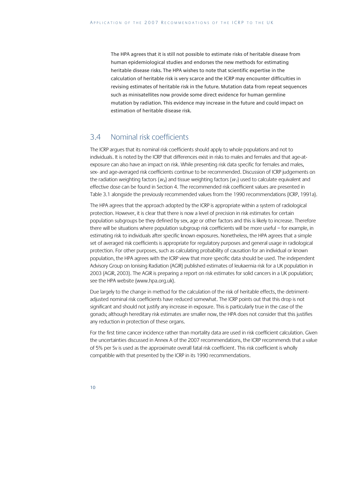The HPA agrees that it is still not possible to estimate risks of heritable disease from human epidemiological studies and endorses the new methods for estimating heritable disease risks. The HPA wishes to note that scientific expertise in the calculation of heritable risk is very scarce and the ICRP may encounter difficulties in revising estimates of heritable risk in the future. Mutation data from repeat sequences such as minisatellites now provide some direct evidence for human germline mutation by radiation. This evidence may increase in the future and could impact on estimation of heritable disease risk.

## 3.4 Nominal risk coefficients

The ICRP argues that its nominal risk coefficients should apply to whole populations and not to individuals. It is noted by the ICRP that differences exist in risks to males and females and that age-atexposure can also have an impact on risk. While presenting risk data specific for females and males, sex- and age-averaged risk coefficients continue to be recommended. Discussion of ICRP judgements on the radiation weighting factors ( $w<sub>g</sub>$ ) and tissue weighting factors ( $w<sub>T</sub>$ ) used to calculate equivalent and effective dose can be found in Section 4. The recommended risk coefficient values are presented in Table 3.1 alongside the previously recommended values from the 1990 recommendations (ICRP, 1991a).

The HPA agrees that the approach adopted by the ICRP is appropriate within a system of radiological protection. However, it is clear that there is now a level of precision in risk estimates for certain population subgroups be they defined by sex, age or other factors and this is likely to increase. Therefore there will be situations where population subgroup risk coefficients will be more useful – for example, in estimating risk to individuals after specific known exposures. Nonetheless, the HPA agrees that a simple set of averaged risk coefficients is appropriate for regulatory purposes and general usage in radiological protection. For other purposes, such as calculating probability of causation for an individual or known population, the HPA agrees with the ICRP view that more specific data should be used. The independent Advisory Group on Ionising Radiation (AGIR) published estimates of leukaemia risk for a UK population in 2003 (AGIR, 2003). The AGIR is preparing a report on risk estimates for solid cancers in a UK population; see the HPA website (www.hpa.org.uk).

Due largely to the change in method for the calculation of the risk of heritable effects, the detrimentadjusted nominal risk coefficients have reduced somewhat. The ICRP points out that this drop is not significant and should not justify any increase in exposure. This is particularly true in the case of the gonads; although hereditary risk estimates are smaller now, the HPA does not consider that this justifies any reduction in protection of these organs.

For the first time cancer incidence rather than mortality data are used in risk coefficient calculation. Given the uncertainties discussed in Annex A of the 2007 recommendations, the ICRP recommends that a value of 5% per Sv is used as the approximate overall fatal risk coefficient. This risk coefficient is wholly compatible with that presented by the ICRP in its 1990 recommendations.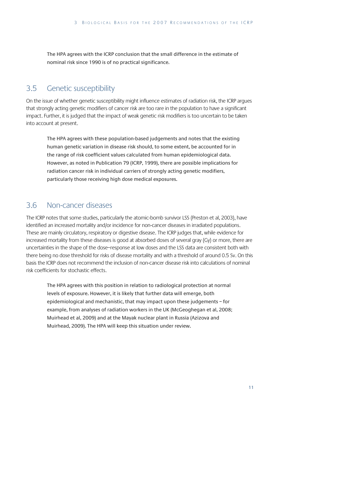The HPA agrees with the ICRP conclusion that the small difference in the estimate of nominal risk since 1990 is of no practical significance.

## 3.5 Genetic susceptibility

On the issue of whether genetic susceptibility might influence estimates of radiation risk, the ICRP argues that strongly acting genetic modifiers of cancer risk are too rare in the population to have a significant impact. Further, it is judged that the impact of weak genetic risk modifiers is too uncertain to be taken into account at present.

The HPA agrees with these population-based judgements and notes that the existing human genetic variation in disease risk should, to some extent, be accounted for in the range of risk coefficient values calculated from human epidemiological data. However, as noted in Publication 79 (ICRP, 1999), there are possible implications for radiation cancer risk in individual carriers of strongly acting genetic modifiers, particularly those receiving high dose medical exposures.

## 3.6 Non-cancer diseases

The ICRP notes that some studies, particularly the atomic-bomb survivor LSS (Preston et al, 2003), have identified an increased mortality and/or incidence for non-cancer diseases in irradiated populations. These are mainly circulatory, respiratory or digestive disease. The ICRP judges that, while evidence for increased mortality from these diseases is good at absorbed doses of several gray (Gy) or more, there are uncertainties in the shape of the dose–response at low doses and the LSS data are consistent both with there being no dose threshold for risks of disease mortality and with a threshold of around 0.5 Sv. On this basis the ICRP does not recommend the inclusion of non-cancer disease risk into calculations of nominal risk coefficients for stochastic effects.

The HPA agrees with this position in relation to radiological protection at normal levels of exposure. However, it is likely that further data will emerge, both epidemiological and mechanistic, that may impact upon these judgements – for example, from analyses of radiation workers in the UK (McGeoghegan et al, 2008; Muirhead et al, 2009) and at the Mayak nuclear plant in Russia (Azizova and Muirhead, 2009). The HPA will keep this situation under review.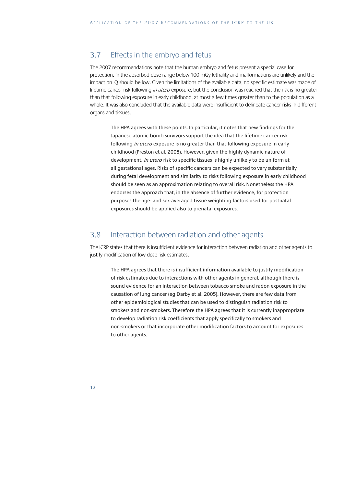## 3.7 Effects in the embryo and fetus

The 2007 recommendations note that the human embryo and fetus present a special case for protection. In the absorbed dose range below 100 mGy lethality and malformations are unlikely and the impact on IQ should be low. Given the limitations of the available data, no specific estimate was made of lifetime cancer risk following in utero exposure, but the conclusion was reached that the risk is no greater than that following exposure in early childhood, at most a few times greater than to the population as a whole. It was also concluded that the available data were insufficient to delineate cancer risks in different organs and tissues.

The HPA agrees with these points. In particular, it notes that new findings for the Japanese atomic-bomb survivors support the idea that the lifetime cancer risk following *in utero* exposure is no greater than that following exposure in early childhood (Preston et al, 2008). However, given the highly dynamic nature of development, in utero risk to specific tissues is highly unlikely to be uniform at all gestational ages. Risks of specific cancers can be expected to vary substantially during fetal development and similarity to risks following exposure in early childhood should be seen as an approximation relating to overall risk. Nonetheless the HPA endorses the approach that, in the absence of further evidence, for protection purposes the age- and sex-averaged tissue weighting factors used for postnatal exposures should be applied also to prenatal exposures.

### 3.8 Interaction between radiation and other agents

The ICRP states that there is insufficient evidence for interaction between radiation and other agents to justify modification of low dose risk estimates.

The HPA agrees that there is insufficient information available to justify modification of risk estimates due to interactions with other agents in general, although there is sound evidence for an interaction between tobacco smoke and radon exposure in the causation of lung cancer (eg Darby et al, 2005). However, there are few data from other epidemiological studies that can be used to distinguish radiation risk to smokers and non-smokers. Therefore the HPA agrees that it is currently inappropriate to develop radiation risk coefficients that apply specifically to smokers and non-smokers or that incorporate other modification factors to account for exposures to other agents.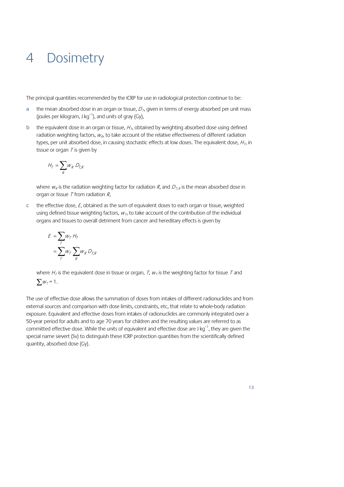# 4 Dosimetry

The principal quantities recommended by the ICRP for use in radiological protection continue to be:

- a the mean absorbed dose in an organ or tissue,  $D_T$ , given in terms of energy absorbed per unit mass (joules per kilogram, J kg<sup>-1</sup>), and units of gray (Gy),
- b the equivalent dose in an organ or tissue,  $H<sub>T</sub>$ , obtained by weighting absorbed dose using defined radiation weighting factors,  $w_{\mathcal{R}}$ , to take account of the relative effectiveness of different radiation types, per unit absorbed dose, in causing stochastic effects at low doses. The equivalent dose,  $H<sub>T</sub>$ , in tissue or organ  $T$  is given by

$$
H_T = \sum_R w_R \; D_{T,R}
$$

where  $w_R$  is the radiation weighting factor for radiation R, and  $D_{TR}$  is the mean absorbed dose in organ or tissue  $T$  from radiation  $R$ ,

c the effective dose, E, obtained as the sum of equivalent doses to each organ or tissue, weighted using defined tissue weighting factors,  $w<sub>\tau</sub>$ , to take account of the contribution of the individual organs and tissues to overall detriment from cancer and hereditary effects is given by

$$
E = \sum_{T} w_{T} H_{T}
$$
  
= 
$$
\sum_{T} w_{T} \sum_{R} w_{R} D_{T,R}
$$

where  $H_T$  is the equivalent dose in tissue or organ, T,  $W_T$  is the weighting factor for tissue T and  $\sum_{W} \mathcal{W}_T = 1$ .

The use of effective dose allows the summation of doses from intakes of different radionuclides and from external sources and comparison with dose limits, constraints, etc, that relate to whole-body radiation exposure. Equivalent and effective doses from intakes of radionuclides are commonly integrated over a 50-year period for adults and to age 70 years for children and the resulting values are referred to as committed effective dose. While the units of equivalent and effective dose are J kg<sup>-1</sup>, they are given the special name sievert (Sv) to distinguish these ICRP protection quantities from the scientifically defined quantity, absorbed dose (Gy).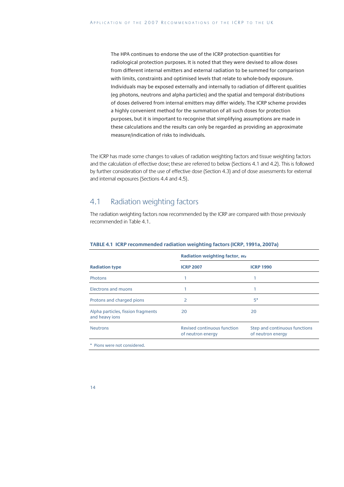The HPA continues to endorse the use of the ICRP protection quantities for radiological protection purposes. It is noted that they were devised to allow doses from different internal emitters and external radiation to be summed for comparison with limits, constraints and optimised levels that relate to whole-body exposure. Individuals may be exposed externally and internally to radiation of different qualities (eg photons, neutrons and alpha particles) and the spatial and temporal distributions of doses delivered from internal emitters may differ widely. The ICRP scheme provides a highly convenient method for the summation of all such doses for protection purposes, but it is important to recognise that simplifying assumptions are made in these calculations and the results can only be regarded as providing an approximate measure/indication of risks to individuals.

The ICRP has made some changes to values of radiation weighting factors and tissue weighting factors and the calculation of effective dose; these are referred to below (Sections 4.1 and 4.2). This is followed by further consideration of the use of effective dose (Section 4.3) and of dose assessments for external and internal exposures (Sections 4.4 and 4.5).

### 4.1 Radiation weighting factors

The radiation weighting factors now recommended by the ICRP are compared with those previously recommended in Table 4.1.

|                                                      | Radiation weighting factor, $W_R$                |                                                    |  |  |
|------------------------------------------------------|--------------------------------------------------|----------------------------------------------------|--|--|
| <b>Radiation type</b>                                | <b>ICRP 2007</b>                                 | <b>ICRP 1990</b>                                   |  |  |
| <b>Photons</b>                                       |                                                  |                                                    |  |  |
| Electrons and muons                                  |                                                  |                                                    |  |  |
| Protons and charged pions                            | 2                                                | $5*$                                               |  |  |
| Alpha particles, fission fragments<br>and heavy ions | 20                                               | 20                                                 |  |  |
| <b>Neutrons</b>                                      | Revised continuous function<br>of neutron energy | Step and continuous functions<br>of neutron energy |  |  |
| * Pions were not considered.                         |                                                  |                                                    |  |  |

#### **TABLE 4.1 ICRP recommended radiation weighting factors (ICRP, 1991a, 2007a)**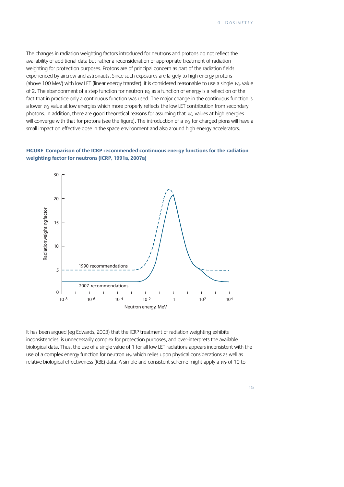The changes in radiation weighting factors introduced for neutrons and protons do not reflect the availability of additional data but rather a reconsideration of appropriate treatment of radiation weighting for protection purposes. Protons are of principal concern as part of the radiation fields experienced by aircrew and astronauts. Since such exposures are largely to high energy protons (above 100 MeV) with low LET (linear energy transfer), it is considered reasonable to use a single  $w<sub>g</sub>$  value of 2. The abandonment of a step function for neutron  $w<sub>k</sub>$  as a function of energy is a reflection of the fact that in practice only a continuous function was used. The major change in the continuous function is a lower  $w_R$  value at low energies which more properly reflects the low LET contribution from secondary photons. In addition, there are good theoretical reasons for assuming that  $w_R$  values at high energies will converge with that for protons (see the figure). The introduction of a  $w<sub>g</sub>$  for charged pions will have a small impact on effective dose in the space environment and also around high energy accelerators.

#### **FIGURE Comparison of the ICRP recommended continuous energy functions for the radiation weighting factor for neutrons (ICRP, 1991a, 2007a)**



It has been argued (eg Edwards, 2003) that the ICRP treatment of radiation weighting exhibits inconsistencies, is unnecessarily complex for protection purposes, and over-interprets the available biological data. Thus, the use of a single value of 1 for all low LET radiations appears inconsistent with the use of a complex energy function for neutron  $w<sub>R</sub>$  which relies upon physical considerations as well as relative biological effectiveness (RBE) data. A simple and consistent scheme might apply a  $W<sub>R</sub>$  of 10 to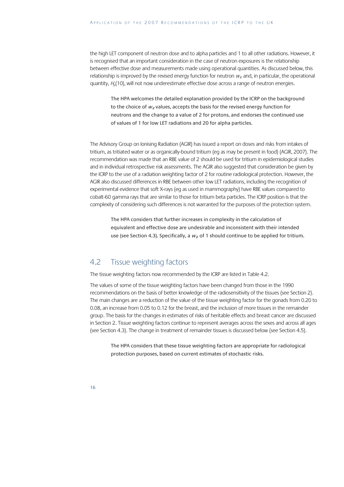the high LET component of neutron dose and to alpha particles and 1 to all other radiations. However, it is recognised that an important consideration in the case of neutron exposures is the relationship between effective dose and measurements made using operational quantities. As discussed below, this relationship is improved by the revised energy function for neutron  $W_R$  and, in particular, the operational quantity,  $H<sub>b</sub>(10)$ , will not now underestimate effective dose across a range of neutron energies.

The HPA welcomes the detailed explanation provided by the ICRP on the background to the choice of  $W_R$  values, accepts the basis for the revised energy function for neutrons and the change to a value of 2 for protons, and endorses the continued use of values of 1 for low LET radiations and 20 for alpha particles.

The Advisory Group on Ionising Radiation (AGIR) has issued a report on doses and risks from intakes of tritium, as tritiated water or as organically-bound tritium (eg as may be present in food) (AGIR, 2007). The recommendation was made that an RBE value of 2 should be used for tritium in epidemiological studies and in individual retrospective risk assessments. The AGIR also suggested that consideration be given by the ICRP to the use of a radiation weighting factor of 2 for routine radiological protection. However, the AGIR also discussed differences in RBE between other low LET radiations, including the recognition of experimental evidence that soft X-rays (eg as used in mammography) have RBE values compared to cobalt-60 gamma rays that are similar to those for tritium beta particles. The ICRP position is that the complexity of considering such differences is not warranted for the purposes of the protection system.

The HPA considers that further increases in complexity in the calculation of equivalent and effective dose are undesirable and inconsistent with their intended use (see Section 4.3). Specifically, a  $w_R$  of 1 should continue to be applied for tritium.

# 4.2 Tissue weighting factors

The tissue weighting factors now recommended by the ICRP are listed in Table 4.2.

The values of some of the tissue weighting factors have been changed from those in the 1990 recommendations on the basis of better knowledge of the radiosensitivity of the tissues (see Section 2). The main changes are a reduction of the value of the tissue weighting factor for the gonads from 0.20 to 0.08, an increase from 0.05 to 0.12 for the breast, and the inclusion of more tissues in the remainder group. The basis for the changes in estimates of risks of heritable effects and breast cancer are discussed in Section 2. Tissue weighting factors continue to represent averages across the sexes and across all ages (see Section 4.3). The change in treatment of remainder tissues is discussed below (see Section 4.5).

The HPA considers that these tissue weighting factors are appropriate for radiological protection purposes, based on current estimates of stochastic risks.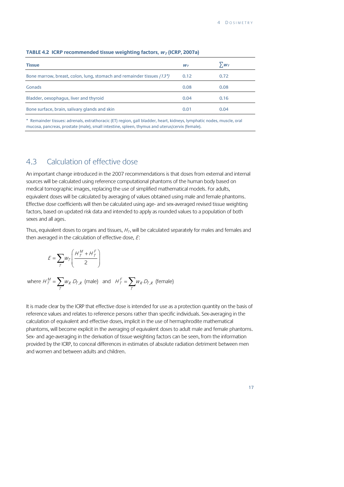| <b>Tissue</b>                                                         | $W_{\mathcal{T}}$ | $\sum_{I}W_{T}$ |
|-----------------------------------------------------------------------|-------------------|-----------------|
| Bone marrow, breast, colon, lung, stomach and remainder tissues (13*) | 0.12              | 0.72            |
| Gonads                                                                | 0.08              | 0.08            |
| Bladder, oesophagus, liver and thyroid                                | 0.04              | 0.16            |
| Bone surface, brain, salivary glands and skin                         | 0.01              | 0.04            |

#### **TABLE 4.2 ICRP recommended tissue weighting factors,**  $W<sub>T</sub>$  **(ICRP, 2007a)**

\* Remainder tissues: adrenals, extrathoracic (ET) region, gall bladder, heart, kidneys, lymphatic nodes, muscle, oral mucosa, pancreas, prostate (male), small intestine, spleen, thymus and uterus/cervix (female).

### 4.3 Calculation of effective dose

An important change introduced in the 2007 recommendations is that doses from external and internal sources will be calculated using reference computational phantoms of the human body based on medical tomographic images, replacing the use of simplified mathematical models. For adults, equivalent doses will be calculated by averaging of values obtained using male and female phantoms. Effective dose coefficients will then be calculated using age- and sex-averaged revised tissue weighting factors, based on updated risk data and intended to apply as rounded values to a population of both sexes and all ages.

Thus, equivalent doses to organs and tissues,  $H<sub>T</sub>$ , will be calculated separately for males and females and then averaged in the calculation of effective dose,  $E$ :

$$
E = \sum_{T} w_{T} \left( \frac{H_{T}^{M} + H_{T}^{F}}{2} \right)
$$
  
where  $H_{T}^{M} = \sum_{T} w_{R} D_{T,R}$  (male) and  $H_{T}^{F} = \sum_{T} w_{R} D_{T,R}$  (female)

It is made clear by the ICRP that effective dose is intended for use as a protection quantity on the basis of reference values and relates to reference persons rather than specific individuals. Sex-averaging in the calculation of equivalent and effective doses, implicit in the use of hermaphrodite mathematical phantoms, will become explicit in the averaging of equivalent doses to adult male and female phantoms. Sex- and age-averaging in the derivation of tissue weighting factors can be seen, from the information provided by the ICRP, to conceal differences in estimates of absolute radiation detriment between men and women and between adults and children.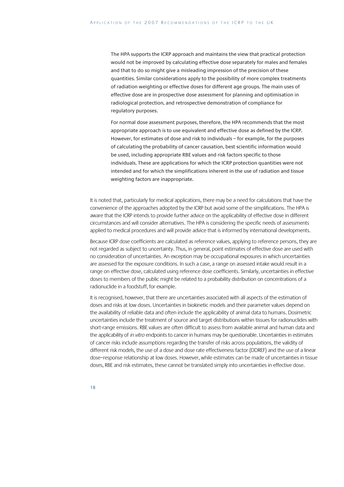The HPA supports the ICRP approach and maintains the view that practical protection would not be improved by calculating effective dose separately for males and females and that to do so might give a misleading impression of the precision of these quantities. Similar considerations apply to the possibility of more complex treatments of radiation weighting or effective doses for different age groups. The main uses of effective dose are in prospective dose assessment for planning and optimisation in radiological protection, and retrospective demonstration of compliance for regulatory purposes.

For normal dose assessment purposes, therefore, the HPA recommends that the most appropriate approach is to use equivalent and effective dose as defined by the ICRP. However, for estimates of dose and risk to individuals – for example, for the purposes of calculating the probability of cancer causation, best scientific information would be used, including appropriate RBE values and risk factors specific to those individuals. These are applications for which the ICRP protection quantities were not intended and for which the simplifications inherent in the use of radiation and tissue weighting factors are inappropriate.

It is noted that, particularly for medical applications, there may be a need for calculations that have the convenience of the approaches adopted by the ICRP but avoid some of the simplifications. The HPA is aware that the ICRP intends to provide further advice on the applicability of effective dose in different circumstances and will consider alternatives. The HPA is considering the specific needs of assessments applied to medical procedures and will provide advice that is informed by international developments.

Because ICRP dose coefficients are calculated as reference values, applying to reference persons, they are not regarded as subject to uncertainty. Thus, in general, point estimates of effective dose are used with no consideration of uncertainties. An exception may be occupational exposures in which uncertainties are assessed for the exposure conditions. In such a case, a range on assessed intake would result in a range on effective dose, calculated using reference dose coefficients. Similarly, uncertainties in effective doses to members of the public might be related to a probability distribution on concentrations of a radionuclide in a foodstuff, for example.

It is recognised, however, that there are uncertainties associated with all aspects of the estimation of doses and risks at low doses. Uncertainties in biokinetic models and their parameter values depend on the availability of reliable data and often include the applicability of animal data to humans. Dosimetric uncertainties include the treatment of source and target distributions within tissues for radionuclides with short-range emissions. RBE values are often difficult to assess from available animal and human data and the applicability of in vitro endpoints to cancer in humans may be questionable. Uncertainties in estimates of cancer risks include assumptions regarding the transfer of risks across populations, the validity of different risk models, the use of a dose and dose rate effectiveness factor (DDREF) and the use of a linear dose–response relationship at low doses. However, while estimates can be made of uncertainties in tissue doses, RBE and risk estimates, these cannot be translated simply into uncertainties in effective dose.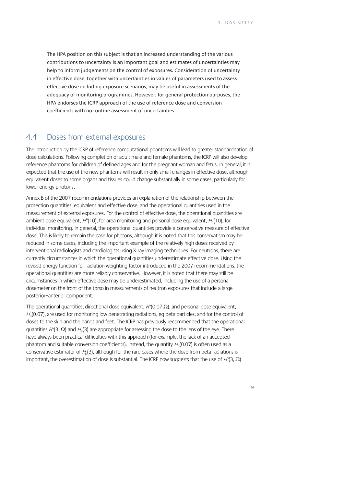The HPA position on this subject is that an increased understanding of the various contributions to uncertainty is an important goal and estimates of uncertainties may help to inform judgements on the control of exposures. Consideration of uncertainty in effective dose, together with uncertainties in values of parameters used to assess effective dose including exposure scenarios, may be useful in assessments of the adequacy of monitoring programmes. However, for general protection purposes, the HPA endorses the ICRP approach of the use of reference dose and conversion coefficients with no routine assessment of uncertainties.

### 4.4 Doses from external exposures

The introduction by the ICRP of reference computational phantoms will lead to greater standardisation of dose calculations. Following completion of adult male and female phantoms, the ICRP will also develop reference phantoms for children of defined ages and for the pregnant woman and fetus. In general, it is expected that the use of the new phantoms will result in only small changes in effective dose, although equivalent doses to some organs and tissues could change substantially in some cases, particularly for lower energy photons.

Annex B of the 2007 recommendations provides an explanation of the relationship between the protection quantities, equivalent and effective dose, and the operational quantities used in the measurement of external exposures. For the control of effective dose, the operational quantities are ambient dose equivalent,  $H^*(10)$ , for area monitoring and personal dose equivalent,  $H_0(10)$ , for individual monitoring. In general, the operational quantities provide a conservative measure of effective dose. This is likely to remain the case for photons, although it is noted that this conservatism may be reduced in some cases, including the important example of the relatively high doses received by interventional radiologists and cardiologists using X-ray imaging techniques. For neutrons, there are currently circumstances in which the operational quantities underestimate effective dose. Using the revised energy function for radiation weighting factor introduced in the 2007 recommendations, the operational quantities are more reliably conservative. However, it is noted that there may still be circumstances in which effective dose may be underestimated, including the use of a personal dosemeter on the front of the torso in measurements of neutron exposures that include a large posterior–anterior component.

The operational quantities, directional dose equivalent,  $H'(0.07,\Omega)$ , and personal dose equivalent,  $H<sub>0</sub>(0.07)$ , are used for monitoring low penetrating radiations, eg beta particles, and for the control of doses to the skin and the hands and feet. The ICRP has previously recommended that the operational quantities  $H(3, \Omega)$  and  $H<sub>0</sub>(3)$  are appropriate for assessing the dose to the lens of the eye. There have always been practical difficulties with this approach (for example, the lack of an accepted phantom and suitable conversion coefficients). Instead, the quantity  $H<sub>p</sub>(0.07)$  is often used as a conservative estimator of  $H<sub>0</sub>(3)$ , although for the rare cases where the dose from beta radiations is important, the overestimation of dose is substantial. The ICRP now suggests that the use of  $H'(3, \Omega)$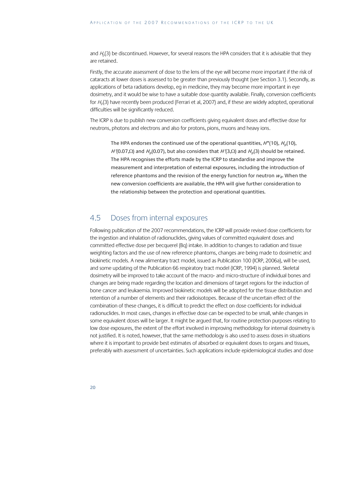and  $H<sub>p</sub>(3)$  be discontinued. However, for several reasons the HPA considers that it is advisable that they are retained.

Firstly, the accurate assessment of dose to the lens of the eye will become more important if the risk of cataracts at lower doses is assessed to be greater than previously thought (see Section 3.1). Secondly, as applications of beta radiations develop, eg in medicine, they may become more important in eye dosimetry, and it would be wise to have a suitable dose quantity available. Finally, conversion coefficients for  $H<sub>0</sub>(3)$  have recently been produced (Ferrari et al, 2007) and, if these are widely adopted, operational difficulties will be significantly reduced.

The ICRP is due to publish new conversion coefficients giving equivalent doses and effective dose for neutrons, photons and electrons and also for protons, pions, muons and heavy ions.

The HPA endorses the continued use of the operational quantities,  $H^*(10)$ ,  $H_0(10)$ , H'(0.07,Ω) and H<sub>p</sub>(0.07), but also considers that H'(3,Ω) and H<sub>p</sub>(3) should be retained. The HPA recognises the efforts made by the ICRP to standardise and improve the measurement and interpretation of external exposures, including the introduction of reference phantoms and the revision of the energy function for neutron  $W<sub>e</sub>$ . When the new conversion coefficients are available, the HPA will give further consideration to the relationship between the protection and operational quantities.

### 4.5 Doses from internal exposures

Following publication of the 2007 recommendations, the ICRP will provide revised dose coefficients for the ingestion and inhalation of radionuclides, giving values of committed equivalent doses and committed effective dose per becquerel (Bq) intake. In addition to changes to radiation and tissue weighting factors and the use of new reference phantoms, changes are being made to dosimetric and biokinetic models. A new alimentary tract model, issued as Publication 100 (ICRP, 2006a), will be used, and some updating of the Publication 66 respiratory tract model (ICRP, 1994) is planned. Skeletal dosimetry will be improved to take account of the macro- and micro-structure of individual bones and changes are being made regarding the location and dimensions of target regions for the induction of bone cancer and leukaemia. Improved biokinetic models will be adopted for the tissue distribution and retention of a number of elements and their radioisotopes. Because of the uncertain effect of the combination of these changes, it is difficult to predict the effect on dose coefficients for individual radionuclides. In most cases, changes in effective dose can be expected to be small, while changes in some equivalent doses will be larger. It might be argued that, for routine protection purposes relating to low dose exposures, the extent of the effort involved in improving methodology for internal dosimetry is not justified. It is noted, however, that the same methodology is also used to assess doses in situations where it is important to provide best estimates of absorbed or equivalent doses to organs and tissues, preferably with assessment of uncertainties. Such applications include epidemiological studies and dose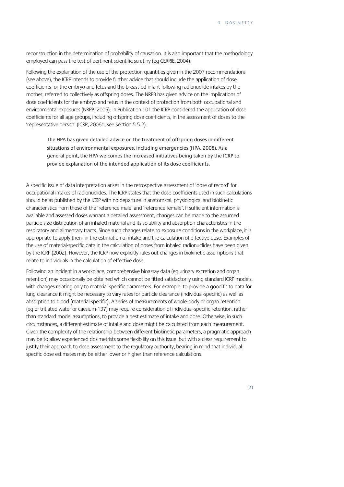reconstruction in the determination of probability of causation. It is also important that the methodology employed can pass the test of pertinent scientific scrutiny (eg CERRIE, 2004).

Following the explanation of the use of the protection quantities given in the 2007 recommendations (see above), the ICRP intends to provide further advice that should include the application of dose coefficients for the embryo and fetus and the breastfed infant following radionuclide intakes by the mother, referred to collectively as offspring doses. The NRPB has given advice on the implications of dose coefficients for the embryo and fetus in the context of protection from both occupational and environmental exposures (NRPB, 2005). In Publication 101 the ICRP considered the application of dose coefficients for all age groups, including offspring dose coefficients, in the assessment of doses to the 'representative person' (ICRP, 2006b; see Section 5.5.2).

The HPA has given detailed advice on the treatment of offspring doses in different situations of environmental exposures, including emergencies (HPA, 2008). As a general point, the HPA welcomes the increased initiatives being taken by the ICRP to provide explanation of the intended application of its dose coefficients.

A specific issue of data interpretation arises in the retrospective assessment of 'dose of record' for occupational intakes of radionuclides. The ICRP states that the dose coefficients used in such calculations should be as published by the ICRP with no departure in anatomical, physiological and biokinetic characteristics from those of the 'reference male' and 'reference female'. If sufficient information is available and assessed doses warrant a detailed assessment, changes can be made to the assumed particle size distribution of an inhaled material and its solubility and absorption characteristics in the respiratory and alimentary tracts. Since such changes relate to exposure conditions in the workplace, it is appropriate to apply them in the estimation of intake and the calculation of effective dose. Examples of the use of material-specific data in the calculation of doses from inhaled radionuclides have been given by the ICRP (2002). However, the ICRP now explicitly rules out changes in biokinetic assumptions that relate to individuals in the calculation of effective dose.

Following an incident in a workplace, comprehensive bioassay data (eg urinary excretion and organ retention) may occasionally be obtained which cannot be fitted satisfactorily using standard ICRP models, with changes relating only to material-specific parameters. For example, to provide a good fit to data for lung clearance it might be necessary to vary rates for particle clearance (individual-specific) as well as absorption to blood (material-specific). A series of measurements of whole-body or organ retention (eg of tritiated water or caesium-137) may require consideration of individual-specific retention, rather than standard model assumptions, to provide a best estimate of intake and dose. Otherwise, in such circumstances, a different estimate of intake and dose might be calculated from each measurement. Given the complexity of the relationship between different biokinetic parameters, a pragmatic approach may be to allow experienced dosimetrists some flexibility on this issue, but with a clear requirement to justify their approach to dose assessment to the regulatory authority, bearing in mind that individualspecific dose estimates may be either lower or higher than reference calculations.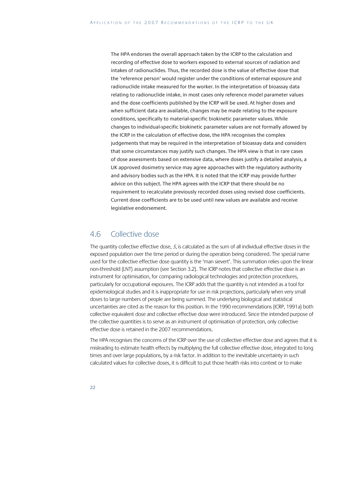The HPA endorses the overall approach taken by the ICRP to the calculation and recording of effective dose to workers exposed to external sources of radiation and intakes of radionuclides. Thus, the recorded dose is the value of effective dose that the 'reference person' would register under the conditions of external exposure and radionuclide intake measured for the worker. In the interpretation of bioassay data relating to radionuclide intake, in most cases only reference model parameter values and the dose coefficients published by the ICRP will be used. At higher doses and when sufficient data are available, changes may be made relating to the exposure conditions, specifically to material-specific biokinetic parameter values. While changes to individual-specific biokinetic parameter values are not formally allowed by the ICRP in the calculation of effective dose, the HPA recognises the complex judgements that may be required in the interpretation of bioassay data and considers that some circumstances may justify such changes. The HPA view is that in rare cases of dose assessments based on extensive data, where doses justify a detailed analysis, a UK approved dosimetry service may agree approaches with the regulatory authority and advisory bodies such as the HPA. It is noted that the ICRP may provide further advice on this subject. The HPA agrees with the ICRP that there should be no requirement to recalculate previously recorded doses using revised dose coefficients. Current dose coefficients are to be used until new values are available and receive legislative endorsement.

### 4.6 Collective dose

The quantity collective effective dose, S, is calculated as the sum of all individual effective doses in the exposed population over the time period or during the operation being considered. The special name used for the collective effective dose quantity is the 'man sievert'. This summation relies upon the linear non-threshold (LNT) assumption (see Section 3.2). The ICRP notes that collective effective dose is an instrument for optimisation, for comparing radiological technologies and protection procedures, particularly for occupational exposures. The ICRP adds that the quantity is not intended as a tool for epidemiological studies and it is inappropriate for use in risk projections, particularly when very small doses to large numbers of people are being summed. The underlying biological and statistical uncertainties are cited as the reason for this position. In the 1990 recommendations (ICRP, 1991a) both collective equivalent dose and collective effective dose were introduced. Since the intended purpose of the collective quantities is to serve as an instrument of optimisation of protection, only collective effective dose is retained in the 2007 recommendations.

The HPA recognises the concerns of the ICRP over the use of collective effective dose and agrees that it is misleading to estimate health effects by multiplying the full collective effective dose, integrated to long times and over large populations, by a risk factor. In addition to the inevitable uncertainty in such calculated values for collective doses, it is difficult to put those health risks into context or to make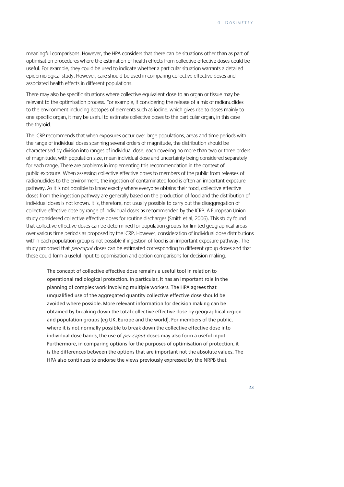meaningful comparisons. However, the HPA considers that there can be situations other than as part of optimisation procedures where the estimation of health effects from collective effective doses could be useful. For example, they could be used to indicate whether a particular situation warrants a detailed epidemiological study. However, care should be used in comparing collective effective doses and associated health effects in different populations.

There may also be specific situations where collective equivalent dose to an organ or tissue may be relevant to the optimisation process. For example, if considering the release of a mix of radionuclides to the environment including isotopes of elements such as iodine, which gives rise to doses mainly to one specific organ, it may be useful to estimate collective doses to the particular organ, in this case the thyroid.

The ICRP recommends that when exposures occur over large populations, areas and time periods with the range of individual doses spanning several orders of magnitude, the distribution should be characterised by division into ranges of individual dose, each covering no more than two or three orders of magnitude, with population size, mean individual dose and uncertainty being considered separately for each range. There are problems in implementing this recommendation in the context of public exposure. When assessing collective effective doses to members of the public from releases of radionuclides to the environment, the ingestion of contaminated food is often an important exposure pathway. As it is not possible to know exactly where everyone obtains their food, collective effective doses from the ingestion pathway are generally based on the production of food and the distribution of individual doses is not known. It is, therefore, not usually possible to carry out the disaggregation of collective effective dose by range of individual doses as recommended by the ICRP. A European Union study considered collective effective doses for routine discharges (Smith et al, 2006). This study found that collective effective doses can be determined for population groups for limited geographical areas over various time periods as proposed by the ICRP. However, consideration of individual dose distributions within each population group is not possible if ingestion of food is an important exposure pathway. The study proposed that *per-caput* doses can be estimated corresponding to different group doses and that these could form a useful input to optimisation and option comparisons for decision making.

The concept of collective effective dose remains a useful tool in relation to operational radiological protection. In particular, it has an important role in the planning of complex work involving multiple workers. The HPA agrees that unqualified use of the aggregated quantity collective effective dose should be avoided where possible. More relevant information for decision making can be obtained by breaking down the total collective effective dose by geographical region and population groups (eg UK, Europe and the world). For members of the public, where it is not normally possible to break down the collective effective dose into individual dose bands, the use of *per-caput* doses may also form a useful input. Furthermore, in comparing options for the purposes of optimisation of protection, it is the differences between the options that are important not the absolute values. The HPA also continues to endorse the views previously expressed by the NRPB that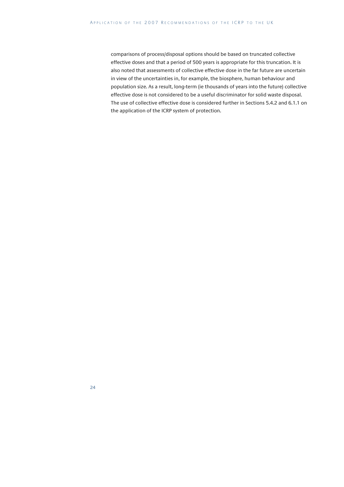comparisons of process/disposal options should be based on truncated collective effective doses and that a period of 500 years is appropriate for this truncation. It is also noted that assessments of collective effective dose in the far future are uncertain in view of the uncertainties in, for example, the biosphere, human behaviour and population size. As a result, long-term (ie thousands of years into the future) collective effective dose is not considered to be a useful discriminator for solid waste disposal. The use of collective effective dose is considered further in Sections 5.4.2 and 6.1.1 on the application of the ICRP system of protection.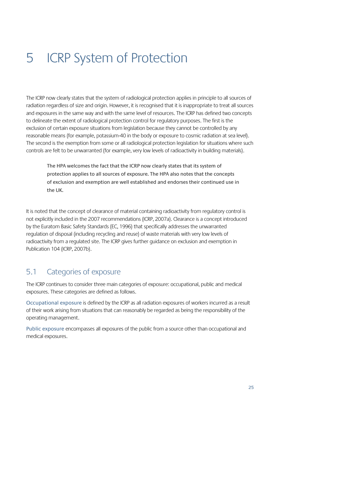# 5 ICRP System of Protection

The ICRP now clearly states that the system of radiological protection applies in principle to all sources of radiation regardless of size and origin. However, it is recognised that it is inappropriate to treat all sources and exposures in the same way and with the same level of resources. The ICRP has defined two concepts to delineate the extent of radiological protection control for regulatory purposes. The first is the exclusion of certain exposure situations from legislation because they cannot be controlled by any reasonable means (for example, potassium-40 in the body or exposure to cosmic radiation at sea level). The second is the exemption from some or all radiological protection legislation for situations where such controls are felt to be unwarranted (for example, very low levels of radioactivity in building materials).

The HPA welcomes the fact that the ICRP now clearly states that its system of protection applies to all sources of exposure. The HPA also notes that the concepts of exclusion and exemption are well established and endorses their continued use in the UK.

It is noted that the concept of clearance of material containing radioactivity from regulatory control is not explicitly included in the 2007 recommendations (ICRP, 2007a). Clearance is a concept introduced by the Euratom Basic Safety Standards (EC, 1996) that specifically addresses the unwarranted regulation of disposal (including recycling and reuse) of waste materials with very low levels of radioactivity from a regulated site. The ICRP gives further guidance on exclusion and exemption in Publication 104 (ICRP, 2007b).

# 5.1 Categories of exposure

The ICRP continues to consider three main categories of exposure: occupational, public and medical exposures. These categories are defined as follows.

Occupational exposure is defined by the ICRP as all radiation exposures of workers incurred as a result of their work arising from situations that can reasonably be regarded as being the responsibility of the operating management.

Public exposure encompasses all exposures of the public from a source other than occupational and medical exposures.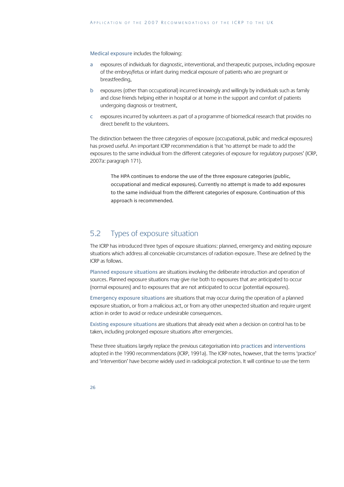#### Medical exposure includes the following:

- a exposures of individuals for diagnostic, interventional, and therapeutic purposes, including exposure of the embryo/fetus or infant during medical exposure of patients who are pregnant or breastfeeding,
- b exposures (other than occupational) incurred knowingly and willingly by individuals such as family and close friends helping either in hospital or at home in the support and comfort of patients undergoing diagnosis or treatment,
- c exposures incurred by volunteers as part of a programme of biomedical research that provides no direct benefit to the volunteers.

The distinction between the three categories of exposure (occupational, public and medical exposures) has proved useful. An important ICRP recommendation is that 'no attempt be made to add the exposures to the same individual from the different categories of exposure for regulatory purposes' (ICRP, 2007a: paragraph 171).

The HPA continues to endorse the use of the three exposure categories (public, occupational and medical exposures). Currently no attempt is made to add exposures to the same individual from the different categories of exposure. Continuation of this approach is recommended.

### 5.2 Types of exposure situation

The ICRP has introduced three types of exposure situations: planned, emergency and existing exposure situations which address all conceivable circumstances of radiation exposure. These are defined by the ICRP as follows.

Planned exposure situations are situations involving the deliberate introduction and operation of sources. Planned exposure situations may give rise both to exposures that are anticipated to occur (normal exposures) and to exposures that are not anticipated to occur (potential exposures).

Emergency exposure situations are situations that may occur during the operation of a planned exposure situation, or from a malicious act, or from any other unexpected situation and require urgent action in order to avoid or reduce undesirable consequences.

Existing exposure situations are situations that already exist when a decision on control has to be taken, including prolonged exposure situations after emergencies.

These three situations largely replace the previous categorisation into practices and interventions adopted in the 1990 recommendations (ICRP, 1991a). The ICRP notes, however, that the terms 'practice' and 'intervention' have become widely used in radiological protection. It will continue to use the term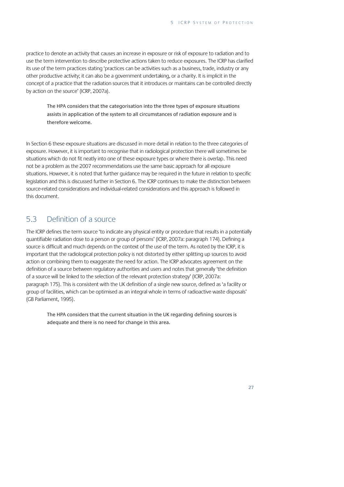practice to denote an activity that causes an increase in exposure or risk of exposure to radiation and to use the term intervention to describe protective actions taken to reduce exposures. The ICRP has clarified its use of the term practices stating 'practices can be activities such as a business, trade, industry or any other productive activity; it can also be a government undertaking, or a charity. It is implicit in the concept of a practice that the radiation sources that it introduces or maintains can be controlled directly by action on the source' (ICRP, 2007a).

The HPA considers that the categorisation into the three types of exposure situations assists in application of the system to all circumstances of radiation exposure and is therefore welcome.

In Section 6 these exposure situations are discussed in more detail in relation to the three categories of exposure. However, it is important to recognise that in radiological protection there will sometimes be situations which do not fit neatly into one of these exposure types or where there is overlap. This need not be a problem as the 2007 recommendations use the same basic approach for all exposure situations. However, it is noted that further guidance may be required in the future in relation to specific legislation and this is discussed further in Section 6. The ICRP continues to make the distinction between source-related considerations and individual-related considerations and this approach is followed in this document.

## 5.3 Definition of a source

The ICRP defines the term source 'to indicate any physical entity or procedure that results in a potentially quantifiable radiation dose to a person or group of persons' (ICRP, 2007a: paragraph 174). Defining a source is difficult and much depends on the context of the use of the term. As noted by the ICRP, it is important that the radiological protection policy is not distorted by either splitting up sources to avoid action or combining them to exaggerate the need for action. The ICRP advocates agreement on the definition of a source between regulatory authorities and users and notes that generally 'the definition of a source will be linked to the selection of the relevant protection strategy' (ICRP, 2007a: paragraph 175). This is consistent with the UK definition of a single new source, defined as 'a facility or group of facilities, which can be optimised as an integral whole in terms of radioactive waste disposals' (GB Parliament, 1995).

The HPA considers that the current situation in the UK regarding defining sources is adequate and there is no need for change in this area.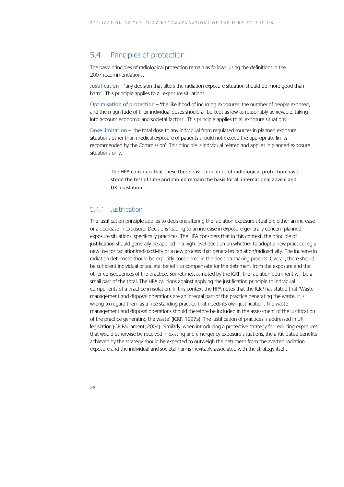## 5.4 Principles of protection

The basic principles of radiological protection remain as follows, using the definitions in the 2007 recommendations.

Justification – 'any decision that alters the radiation exposure situation should do more good than harm'. This principle applies to all exposure situations.

Optimisation of protection – 'the likelihood of incurring exposures, the number of people exposed, and the magnitude of their individual doses should all be kept as low as reasonably achievable, taking into account economic and societal factors'. This principle applies to all exposure situations.

Dose limitation – 'the total dose to any individual from regulated sources in planned exposure situations other than medical exposure of patients should not exceed the appropriate limits recommended by the Commission'. This principle is individual related and applies in planned exposure situations only.

The HPA considers that these three basic principles of radiological protection have stood the test of time and should remain the basis for all international advice and UK legislation.

#### 5.4.1 Justification

The justification principle applies to decisions altering the radiation exposure situation, either an increase or a decrease in exposure. Decisions leading to an increase in exposure generally concern planned exposure situations, specifically practices. The HPA considers that in this context, the principle of justification should generally be applied in a high-level decision on whether to adopt a new practice, eg a new use for radiation/radioactivity or a new process that generates radiation/radioactivity. The increase in radiation detriment should be explicitly considered in the decision-making process. Overall, there should be sufficient individual or societal benefit to compensate for the detriment from the exposure and the other consequences of the practice. Sometimes, as noted by the ICRP, the radiation detriment will be a small part of the total. The HPA cautions against applying the justification principle to individual components of a practice in isolation. In this context the HPA notes that the ICRP has stated that 'Waste management and disposal operations are an integral part of the practice generating the waste. It is wrong to regard them as a free standing practice that needs its own justification. The waste management and disposal operations should therefore be included in the assessment of the justification of the practice generating the waste' (ICRP, 1997a). The justification of practices is addressed in UK legislation (GB Parliament, 2004). Similarly, when introducing a protective strategy for reducing exposures that would otherwise be received in existing and emergency exposure situations, the anticipated benefits achieved by the strategy should be expected to outweigh the detriment from the averted radiation exposure and the individual and societal harms inevitably associated with the strategy itself.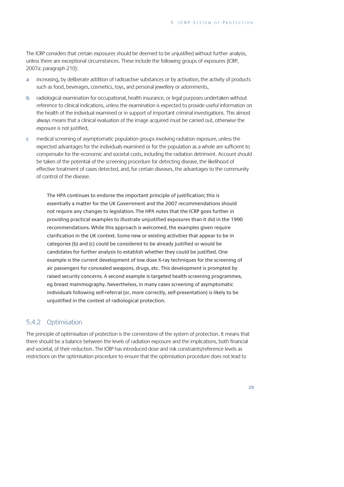The ICRP considers that certain exposures should be deemed to be unjustified without further analysis, unless there are exceptional circumstances. These include the following groups of exposures (ICRP, 2007a: paragraph 210):

- a increasing, by deliberate addition of radioactive substances or by activation, the activity of products such as food, beverages, cosmetics, toys, and personal jewellery or adornments,
- b radiological examination for occupational, health insurance, or legal purposes undertaken without reference to clinical indications, unless the examination is expected to provide useful information on the health of the individual examined or in support of important criminal investigations. This almost always means that a clinical evaluation of the image acquired must be carried out, otherwise the exposure is not justified,
- c medical screening of asymptomatic population groups involving radiation exposure, unless the expected advantages for the individuals examined or for the population as a whole are sufficient to compensate for the economic and societal costs, including the radiation detriment. Account should be taken of the potential of the screening procedure for detecting disease, the likelihood of effective treatment of cases detected, and, for certain diseases, the advantages to the community of control of the disease.

The HPA continues to endorse the important principle of justification; this is essentially a matter for the UK Government and the 2007 recommendations should not require any changes to legislation. The HPA notes that the ICRP goes further in providing practical examples to illustrate unjustified exposures than it did in the 1990 recommendations. While this approach is welcomed, the examples given require clarification in the UK context. Some new or existing activities that appear to be in categories (b) and (c) could be considered to be already justified or would be candidates for further analysis to establish whether they could be justified. One example is the current development of low dose X-ray techniques for the screening of air passengers for concealed weapons, drugs, etc. This development is prompted by raised security concerns. A second example is targeted health screening programmes, eg breast mammography. Nevertheless, in many cases screening of asymptomatic individuals following self-referral (or, more correctly, self-presentation) is likely to be unjustified in the context of radiological protection.

### 5.4.2 Optimisation

The principle of optimisation of protection is the cornerstone of the system of protection. It means that there should be a balance between the levels of radiation exposure and the implications, both financial and societal, of their reduction. The ICRP has introduced dose and risk constraints/reference levels as restrictions on the optimisation procedure to ensure that the optimisation procedure does not lead to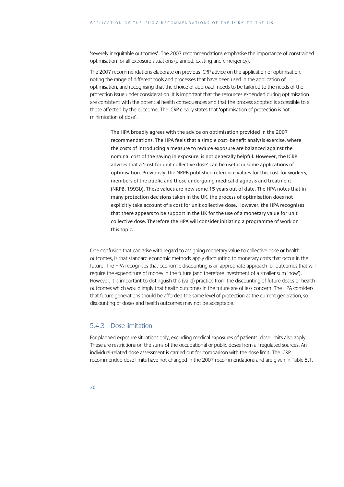'severely inequitable outcomes'. The 2007 recommendations emphasise the importance of constrained optimisation for all exposure situations (planned, existing and emergency).

The 2007 recommendations elaborate on previous ICRP advice on the application of optimisation, noting the range of different tools and processes that have been used in the application of optimisation, and recognising that the choice of approach needs to be tailored to the needs of the protection issue under consideration. It is important that the resources expended during optimisation are consistent with the potential health consequences and that the process adopted is accessible to all those affected by the outcome. The ICRP clearly states that 'optimisation of protection is not minimisation of dose'.

The HPA broadly agrees with the advice on optimisation provided in the 2007 recommendations. The HPA feels that a simple cost–benefit analysis exercise, where the costs of introducing a measure to reduce exposure are balanced against the nominal cost of the saving in exposure, is not generally helpful. However, the ICRP advises that a 'cost for unit collective dose' can be useful in some applications of optimisation. Previously, the NRPB published reference values for this cost for workers, members of the public and those undergoing medical diagnosis and treatment (NRPB, 1993b). These values are now some 15 years out of date. The HPA notes that in many protection decisions taken in the UK, the process of optimisation does not explicitly take account of a cost for unit collective dose. However, the HPA recognises that there appears to be support in the UK for the use of a monetary value for unit collective dose. Therefore the HPA will consider initiating a programme of work on this topic.

One confusion that can arise with regard to assigning monetary value to collective dose or health outcomes, is that standard economic methods apply discounting to monetary costs that occur in the future. The HPA recognises that economic discounting is an appropriate approach for outcomes that will require the expenditure of money in the future (and therefore investment of a smaller sum 'now'). However, it is important to distinguish this (valid) practice from the discounting of future doses or health outcomes which would imply that health outcomes in the future are of less concern. The HPA considers that future generations should be afforded the same level of protection as the current generation, so discounting of doses and health outcomes may not be acceptable.

#### 5.4.3 Dose limitation

For planned exposure situations only, excluding medical exposures of patients, dose limits also apply. These are restrictions on the sums of the occupational or public doses from all regulated sources. An individual-related dose assessment is carried out for comparison with the dose limit. The ICRP recommended dose limits have not changed in the 2007 recommendations and are given in Table 5.1.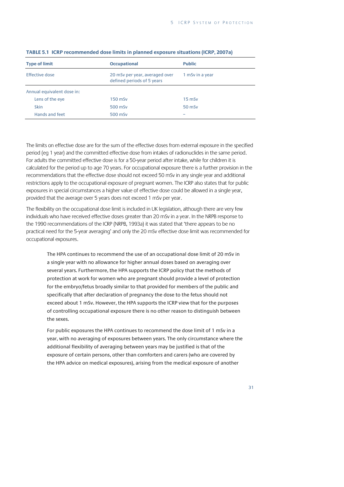| <b>Type of limit</b>       | <b>Occupational</b>                                          | <b>Public</b>   |
|----------------------------|--------------------------------------------------------------|-----------------|
| Effective dose             | 20 mSv per year, averaged over<br>defined periods of 5 years | 1 mSv in a year |
| Annual equivalent dose in: |                                                              |                 |
| Lens of the eye            | $150$ mSv                                                    | $15$ mSv        |
| <b>Skin</b>                | 500 mSv                                                      | $50$ mSv        |
| Hands and feet             | 500 mSv                                                      | -               |

#### **TABLE 5.1 ICRP recommended dose limits in planned exposure situations (ICRP, 2007a)**

The limits on effective dose are for the sum of the effective doses from external exposure in the specified period (eg 1 year) and the committed effective dose from intakes of radionuclides in the same period. For adults the committed effective dose is for a 50-year period after intake, while for children it is calculated for the period up to age 70 years. For occupational exposure there is a further provision in the recommendations that the effective dose should not exceed 50 mSv in any single year and additional restrictions apply to the occupational exposure of pregnant women. The ICRP also states that for public exposures in special circumstances a higher value of effective dose could be allowed in a single year, provided that the average over 5 years does not exceed 1 mSv per year.

The flexibility on the occupational dose limit is included in UK legislation, although there are very few individuals who have received effective doses greater than 20 mSv in a year. In the NRPB response to the 1990 recommendations of the ICRP (NRPB, 1993a) it was stated that 'there appears to be no practical need for the 5-year averaging' and only the 20 mSv effective dose limit was recommended for occupational exposures.

The HPA continues to recommend the use of an occupational dose limit of 20 mSv in a single year with no allowance for higher annual doses based on averaging over several years. Furthermore, the HPA supports the ICRP policy that the methods of protection at work for women who are pregnant should provide a level of protection for the embryo/fetus broadly similar to that provided for members of the public and specifically that after declaration of pregnancy the dose to the fetus should not exceed about 1 mSv. However, the HPA supports the ICRP view that for the purposes of controlling occupational exposure there is no other reason to distinguish between the sexes.

For public exposures the HPA continues to recommend the dose limit of 1 mSv in a year, with no averaging of exposures between years. The only circumstance where the additional flexibility of averaging between years may be justified is that of the exposure of certain persons, other than comforters and carers (who are covered by the HPA advice on medical exposures), arising from the medical exposure of another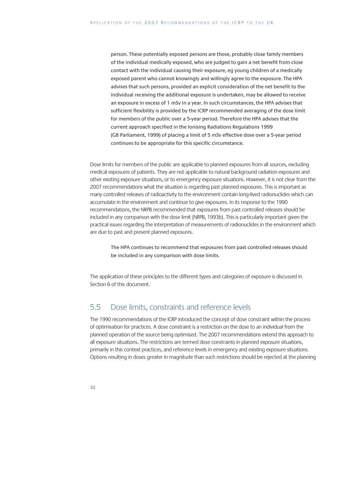person. These potentially exposed persons are those, probably close family members of the individual medically exposed, who are judged to gain a net benefit from close contact with the individual causing their exposure, eg young children of a medically exposed parent who cannot knowingly and willingly agree to the exposure. The HPA advises that such persons, provided an explicit consideration of the net benefit to the individual receiving the additional exposure is undertaken, may be allowed to receive an exposure in excess of 1 mSv in a year. In such circumstances, the HPA advises that sufficient flexibility is provided by the ICRP recommended averaging of the dose limit for members of the public over a 5-year period. Therefore the HPA advises that the current approach specified in the Ionising Radiations Regulations 1999 (GB Parliament, 1999) of placing a limit of 5 mSv effective dose over a 5-year period continues to be appropriate for this specific circumstance.

Dose limits for members of the public are applicable to planned exposures from all sources, excluding medical exposures of patients. They are not applicable to natural background radiation exposures and other existing exposure situations, or to emergency exposure situations. However, it is not clear from the 2007 recommendations what the situation is regarding past planned exposures. This is important as many controlled releases of radioactivity to the environment contain long-lived radionuclides which can accumulate in the environment and continue to give exposures. In its response to the 1990 recommendations, the NRPB recommended that exposures from past controlled releases should be included in any comparison with the dose limit (NRPB, 1993b). This is particularly important given the practical issues regarding the interpretation of measurements of radionuclides in the environment which are due to past and present planned exposures.

The HPA continues to recommend that exposures from past controlled releases should be included in any comparison with dose limits.

The application of these principles to the different types and categories of exposure is discussed in Section 6 of this document.

### 5.5 Dose limits, constraints and reference levels

The 1990 recommendations of the ICRP introduced the concept of dose constraint within the process of optimisation for practices. A dose constraint is a restriction on the dose to an individual from the planned operation of the source being optimised. The 2007 recommendations extend this approach to all exposure situations. The restrictions are termed dose constraints in planned exposure situations, primarily in this context practices, and reference levels in emergency and existing exposure situations. Options resulting in doses greater in magnitude than such restrictions should be rejected at the planning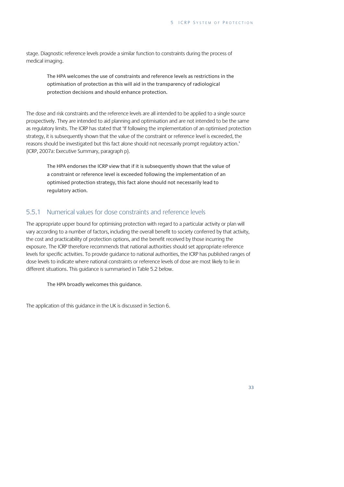stage. Diagnostic reference levels provide a similar function to constraints during the process of medical imaging.

The HPA welcomes the use of constraints and reference levels as restrictions in the optimisation of protection as this will aid in the transparency of radiological protection decisions and should enhance protection.

The dose and risk constraints and the reference levels are all intended to be applied to a single source prospectively. They are intended to aid planning and optimisation and are not intended to be the same as regulatory limits. The ICRP has stated that 'If following the implementation of an optimised protection strategy, it is subsequently shown that the value of the constraint or reference level is exceeded, the reasons should be investigated but this fact alone should not necessarily prompt regulatory action.' (ICRP, 2007a: Executive Summary, paragraph p).

The HPA endorses the ICRP view that if it is subsequently shown that the value of a constraint or reference level is exceeded following the implementation of an optimised protection strategy, this fact alone should not necessarily lead to regulatory action.

#### 5.5.1 Numerical values for dose constraints and reference levels

The appropriate upper bound for optimising protection with regard to a particular activity or plan will vary according to a number of factors, including the overall benefit to society conferred by that activity, the cost and practicability of protection options, and the benefit received by those incurring the exposure. The ICRP therefore recommends that national authorities should set appropriate reference levels for specific activities. To provide guidance to national authorities, the ICRP has published ranges of dose levels to indicate where national constraints or reference levels of dose are most likely to lie in different situations. This guidance is summarised in Table 5.2 below.

The HPA broadly welcomes this guidance.

The application of this guidance in the UK is discussed in Section 6.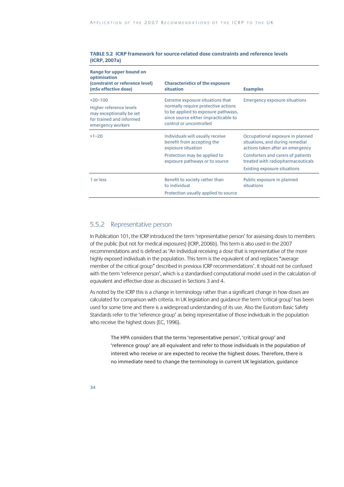| TABLE 5.2 ICRP framework for source-related dose constraints and reference levels |
|-----------------------------------------------------------------------------------|
| (ICRP, 2007a)                                                                     |
|                                                                                   |

| optimisation<br>(constraint or reference level)<br>(mSv effective dose)                                           | <b>Characteristics of the exposure</b><br>situation                                                                                                                               | <b>Examples</b>                                                                                         |
|-------------------------------------------------------------------------------------------------------------------|-----------------------------------------------------------------------------------------------------------------------------------------------------------------------------------|---------------------------------------------------------------------------------------------------------|
| $>20-100$<br>Higher reference levels<br>may exceptionally be set<br>for trained and informed<br>emergency workers | Extreme exposure situations that<br>normally require protective actions<br>to be applied to exposure pathways,<br>since source either impracticable to<br>control or uncontrolled | <b>Emergency exposure situations</b>                                                                    |
| $>1 - 20$                                                                                                         | Individuals will usually receive<br>benefit from accepting the<br>exposure situation                                                                                              | Occupational exposure in planned<br>situations, and during remedial<br>actions taken after an emergency |
|                                                                                                                   | Protection may be applied to<br>exposure pathways or to source                                                                                                                    | Comforters and carers of patients<br>treated with radiopharmaceuticals<br>Existing exposure situations  |
| 1 or less                                                                                                         | Benefit to society rather than<br>to individual                                                                                                                                   | Public exposure in planned<br>situations                                                                |
|                                                                                                                   | Protection usually applied to source                                                                                                                                              |                                                                                                         |

#### 5.5.2 Representative person

**Range for upper bound on** 

In Publication 101, the ICRP introduced the term 'representative person' for assessing doses to members of the public (but not for medical exposures) (ICRP, 2006b). This term is also used in the 2007 recommendations and is defined as 'An individual receiving a dose that is representative of the more highly exposed individuals in the population. This term is the equivalent of and replaces "average member of the critical group" described in previous ICRP recommendations'. It should not be confused with the term 'reference person', which is a standardised computational model used in the calculation of equivalent and effective dose as discussed in Sections 3 and 4.

As noted by the ICRP this is a change in terminology rather than a significant change in how doses are calculated for comparison with criteria. In UK legislation and guidance the term 'critical group' has been used for some time and there is a widespread understanding of its use. Also the Euratom Basic Safety Standards refer to the 'reference group' as being representative of those individuals in the population who receive the highest doses (EC, 1996).

The HPA considers that the terms 'representative person', 'critical group' and 'reference group' are all equivalent and refer to those individuals in the population of interest who receive or are expected to receive the highest doses. Therefore, there is no immediate need to change the terminology in current UK legislation, guidance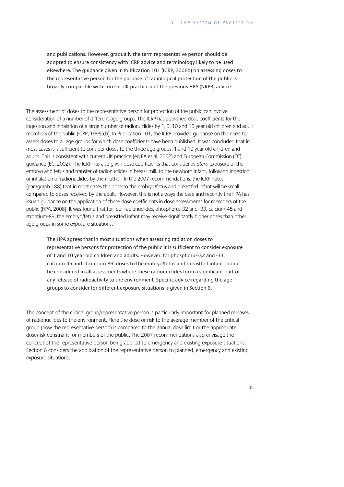and publications. However, gradually the term representative person should be adopted to ensure consistency with ICRP advice and terminology likely to be used elsewhere. The guidance given in Publication 101 (ICRP, 2006b) on assessing doses to the representative person for the purpose of radiological protection of the public is broadly compatible with current UK practice and the previous HPA (NRPB) advice.

The assessment of doses to the representative person for protection of the public can involve consideration of a number of different age groups. The ICRP has published dose coefficients for the ingestion and inhalation of a large number of radionuclides by 1, 5, 10 and 15 year old children and adult members of the public (ICRP, 1996a,b). In Publication 101, the ICRP provided guidance on the need to assess doses to all age groups for which dose coefficients have been published. It was concluded that in most cases it is sufficient to consider doses to the three age groups, 1 and 10 year old children and adults. This is consistent with current UK practice (eg EA et al, 2002) and European Commission (EC) guidance (EC, 2002). The ICRP has also given dose coefficients that consider in utero exposure of the embryo and fetus and transfer of radionuclides in breast milk to the newborn infant, following ingestion or inhalation of radionuclides by the mother. In the 2007 recommendations, the ICRP notes (paragraph 188) that in most cases the dose to the embryo/fetus and breastfed infant will be small compared to doses received by the adult. However, this is not always the case and recently the HPA has issued guidance on the application of these dose coefficients in dose assessments for members of the public (HPA, 2008). It was found that for four radionuclides, phosphorus-32 and -33, calcium-45 and strontium-89, the embryo/fetus and breastfed infant may receive significantly higher doses than other age groups in some exposure situations.

The HPA agrees that in most situations when assessing radiation doses to representative persons for protection of the public it is sufficient to consider exposure of 1 and 10 year old children and adults. However, for phosphorus-32 and -33, calcium-45 and strontium-89, doses to the embryo/fetus and breastfed infant should be considered in all assessments where these radionuclides form a significant part of any release of radioactivity to the environment. Specific advice regarding the age groups to consider for different exposure situations is given in Section 6.

The concept of the critical group/representative person is particularly important for planned releases of radionuclides to the environment. Here the dose or risk to the average member of the critical group (now the representative person) is compared to the annual dose limit or the appropriate dose/risk constraint for members of the public. The 2007 recommendations also envisage the concept of the representative person being applied to emergency and existing exposure situations. Section 6 considers the application of the representative person to planned, emergency and existing exposure situations.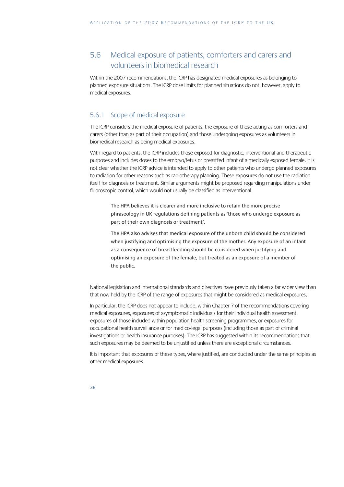## 5.6 Medical exposure of patients, comforters and carers and volunteers in biomedical research

Within the 2007 recommendations, the ICRP has designated medical exposures as belonging to planned exposure situations. The ICRP dose limits for planned situations do not, however, apply to medical exposures.

### 5.6.1 Scope of medical exposure

The ICRP considers the medical exposure of patients, the exposure of those acting as comforters and carers (other than as part of their occupation) and those undergoing exposures as volunteers in biomedical research as being medical exposures.

With regard to patients, the ICRP includes those exposed for diagnostic, interventional and therapeutic purposes and includes doses to the embryo/fetus or breastfed infant of a medically exposed female. It is not clear whether the ICRP advice is intended to apply to other patients who undergo planned exposures to radiation for other reasons such as radiotherapy planning. These exposures do not use the radiation itself for diagnosis or treatment. Similar arguments might be proposed regarding manipulations under fluoroscopic control, which would not usually be classified as interventional.

The HPA believes it is clearer and more inclusive to retain the more precise phraseology in UK regulations defining patients as 'those who undergo exposure as part of their own diagnosis or treatment'.

The HPA also advises that medical exposure of the unborn child should be considered when justifying and optimising the exposure of the mother. Any exposure of an infant as a consequence of breastfeeding should be considered when justifying and optimising an exposure of the female, but treated as an exposure of a member of the public.

National legislation and international standards and directives have previously taken a far wider view than that now held by the ICRP of the range of exposures that might be considered as medical exposures.

In particular, the ICRP does not appear to include, within Chapter 7 of the recommendations covering medical exposures, exposures of asymptomatic individuals for their individual health assessment, exposures of those included within population health screening programmes, or exposures for occupational health surveillance or for medico-legal purposes (including those as part of criminal investigations or health insurance purposes). The ICRP has suggested within its recommendations that such exposures may be deemed to be unjustified unless there are exceptional circumstances.

It is important that exposures of these types, where justified, are conducted under the same principles as other medical exposures.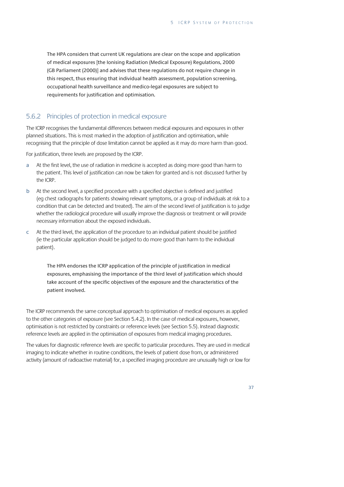The HPA considers that current UK regulations are clear on the scope and application of medical exposures [the Ionising Radiation (Medical Exposure) Regulations, 2000 (GB Parliament (2000)] and advises that these regulations do not require change in this respect, thus ensuring that individual health assessment, population screening, occupational health surveillance and medico-legal exposures are subject to requirements for justification and optimisation.

#### 5.6.2 Principles of protection in medical exposure

The ICRP recognises the fundamental differences between medical exposures and exposures in other planned situations. This is most marked in the adoption of justification and optimisation, while recognising that the principle of dose limitation cannot be applied as it may do more harm than good.

For justification, three levels are proposed by the ICRP.

- a At the first level, the use of radiation in medicine is accepted as doing more good than harm to the patient. This level of justification can now be taken for granted and is not discussed further by the ICRP.
- b At the second level, a specified procedure with a specified objective is defined and justified (eg chest radiographs for patients showing relevant symptoms, or a group of individuals at risk to a condition that can be detected and treated). The aim of the second level of justification is to judge whether the radiological procedure will usually improve the diagnosis or treatment or will provide necessary information about the exposed individuals.
- c At the third level, the application of the procedure to an individual patient should be justified (ie the particular application should be judged to do more good than harm to the individual patient).

The HPA endorses the ICRP application of the principle of justification in medical exposures, emphasising the importance of the third level of justification which should take account of the specific objectives of the exposure and the characteristics of the patient involved.

The ICRP recommends the same conceptual approach to optimisation of medical exposures as applied to the other categories of exposure (see Section 5.4.2). In the case of medical exposures, however, optimisation is not restricted by constraints or reference levels (see Section 5.5). Instead diagnostic reference levels are applied in the optimisation of exposures from medical imaging procedures.

The values for diagnostic reference levels are specific to particular procedures. They are used in medical imaging to indicate whether in routine conditions, the levels of patient dose from, or administered activity (amount of radioactive material) for, a specified imaging procedure are unusually high or low for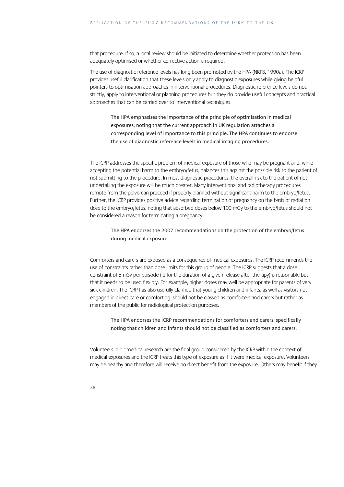that procedure. If so, a local review should be initiated to determine whether protection has been adequately optimised or whether corrective action is required.

The use of diagnostic reference levels has long been promoted by the HPA (NRPB, 1990a). The ICRP provides useful clarification that these levels only apply to diagnostic exposures while giving helpful pointers to optimisation approaches in interventional procedures. Diagnostic reference levels do not, strictly, apply to interventional or planning procedures but they do provide useful concepts and practical approaches that can be carried over to interventional techniques.

The HPA emphasises the importance of the principle of optimisation in medical exposures, noting that the current approach in UK regulation attaches a corresponding level of importance to this principle. The HPA continues to endorse the use of diagnostic reference levels in medical imaging procedures.

The ICRP addresses the specific problem of medical exposure of those who may be pregnant and, while accepting the potential harm to the embryo/fetus, balances this against the possible risk to the patient of not submitting to the procedure. In most diagnostic procedures, the overall risk to the patient of not undertaking the exposure will be much greater. Many interventional and radiotherapy procedures remote from the pelvis can proceed if properly planned without significant harm to the embryo/fetus. Further, the ICRP provides positive advice regarding termination of pregnancy on the basis of radiation dose to the embryo/fetus, noting that absorbed doses below 100 mGy to the embryo/fetus should not be considered a reason for terminating a pregnancy.

The HPA endorses the 2007 recommendations on the protection of the embryo/fetus during medical exposure.

Comforters and carers are exposed as a consequence of medical exposures. The ICRP recommends the use of constraints rather than dose limits for this group of people. The ICRP suggests that a dose constraint of 5 mSv per episode (ie for the duration of a given release after therapy) is reasonable but that it needs to be used flexibly. For example, higher doses may well be appropriate for parents of very sick children. The ICRP has also usefully clarified that young children and infants, as well as visitors not engaged in direct care or comforting, should not be classed as comforters and carers but rather as members of the public for radiological protection purposes.

The HPA endorses the ICRP recommendations for comforters and carers, specifically noting that children and infants should not be classified as comforters and carers.

Volunteers in biomedical research are the final group considered by the ICRP within the context of medical exposures and the ICRP treats this type of exposure as if it were medical exposure. Volunteers may be healthy and therefore will receive no direct benefit from the exposure. Others may benefit if they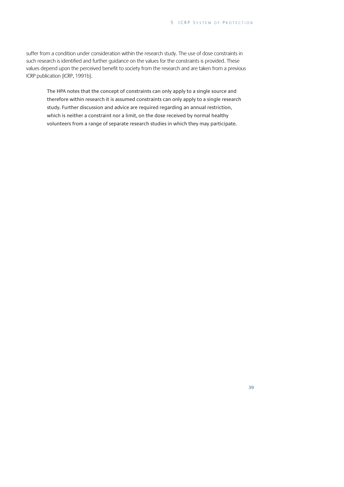suffer from a condition under consideration within the research study. The use of dose constraints in such research is identified and further guidance on the values for the constraints is provided. These values depend upon the perceived benefit to society from the research and are taken from a previous ICRP publication (ICRP, 1991b).

The HPA notes that the concept of constraints can only apply to a single source and therefore within research it is assumed constraints can only apply to a single research study. Further discussion and advice are required regarding an annual restriction, which is neither a constraint nor a limit, on the dose received by normal healthy volunteers from a range of separate research studies in which they may participate.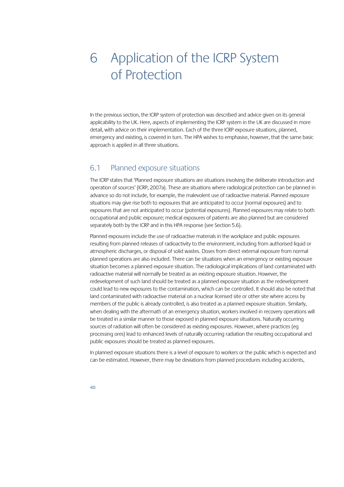# 6 Application of the ICRP System of Protection

In the previous section, the ICRP system of protection was described and advice given on its general applicability to the UK. Here, aspects of implementing the ICRP system in the UK are discussed in more detail, with advice on their implementation. Each of the three ICRP exposure situations, planned, emergency and existing, is covered in turn. The HPA wishes to emphasise, however, that the same basic approach is applied in all three situations.

## 6.1 Planned exposure situations

The ICRP states that 'Planned exposure situations are situations involving the deliberate introduction and operation of sources' (ICRP, 2007a). These are situations where radiological protection can be planned in advance so do not include, for example, the malevolent use of radioactive material. Planned exposure situations may give rise both to exposures that are anticipated to occur (normal exposures) and to exposures that are not anticipated to occur (potential exposures). Planned exposures may relate to both occupational and public exposure; medical exposures of patients are also planned but are considered separately both by the ICRP and in this HPA response (see Section 5.6).

Planned exposures include the use of radioactive materials in the workplace and public exposures resulting from planned releases of radioactivity to the environment, including from authorised liquid or atmospheric discharges, or disposal of solid wastes. Doses from direct external exposure from normal planned operations are also included. There can be situations when an emergency or existing exposure situation becomes a planned exposure situation. The radiological implications of land contaminated with radioactive material will normally be treated as an existing exposure situation. However, the redevelopment of such land should be treated as a planned exposure situation as the redevelopment could lead to new exposures to the contamination, which can be controlled. It should also be noted that land contaminated with radioactive material on a nuclear licensed site or other site where access by members of the public is already controlled, is also treated as a planned exposure situation. Similarly, when dealing with the aftermath of an emergency situation, workers involved in recovery operations will be treated in a similar manner to those exposed in planned exposure situations. Naturally occurring sources of radiation will often be considered as existing exposures. However, where practices (eg processing ores) lead to enhanced levels of naturally occurring radiation the resulting occupational and public exposures should be treated as planned exposures.

In planned exposure situations there is a level of exposure to workers or the public which is expected and can be estimated. However, there may be deviations from planned procedures including accidents,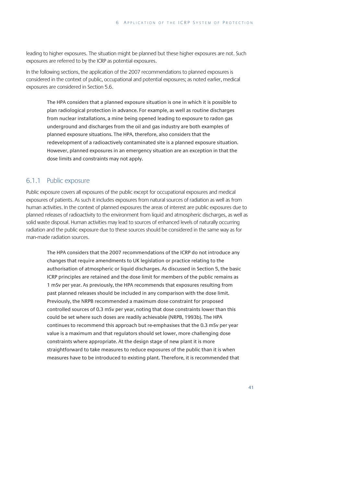leading to higher exposures. The situation might be planned but these higher exposures are not. Such exposures are referred to by the ICRP as potential exposures.

In the following sections, the application of the 2007 recommendations to planned exposures is considered in the context of public, occupational and potential exposures; as noted earlier, medical exposures are considered in Section 5.6.

The HPA considers that a planned exposure situation is one in which it is possible to plan radiological protection in advance. For example, as well as routine discharges from nuclear installations, a mine being opened leading to exposure to radon gas underground and discharges from the oil and gas industry are both examples of planned exposure situations. The HPA, therefore, also considers that the redevelopment of a radioactively contaminated site is a planned exposure situation. However, planned exposures in an emergency situation are an exception in that the dose limits and constraints may not apply.

#### 6.1.1 Public exposure

Public exposure covers all exposures of the public except for occupational exposures and medical exposures of patients. As such it includes exposures from natural sources of radiation as well as from human activities. In the context of planned exposures the areas of interest are public exposures due to planned releases of radioactivity to the environment from liquid and atmospheric discharges, as well as solid waste disposal. Human activities may lead to sources of enhanced levels of naturally occurring radiation and the public exposure due to these sources should be considered in the same way as for man-made radiation sources.

The HPA considers that the 2007 recommendations of the ICRP do not introduce any changes that require amendments to UK legislation or practice relating to the authorisation of atmospheric or liquid discharges. As discussed in Section 5, the basic ICRP principles are retained and the dose limit for members of the public remains as 1 mSv per year. As previously, the HPA recommends that exposures resulting from past planned releases should be included in any comparison with the dose limit. Previously, the NRPB recommended a maximum dose constraint for proposed controlled sources of 0.3 mSv per year, noting that dose constraints lower than this could be set where such doses are readily achievable (NRPB, 1993b). The HPA continues to recommend this approach but re-emphasises that the 0.3 mSv per year value is a maximum and that regulators should set lower, more challenging dose constraints where appropriate. At the design stage of new plant it is more straightforward to take measures to reduce exposures of the public than it is when measures have to be introduced to existing plant. Therefore, it is recommended that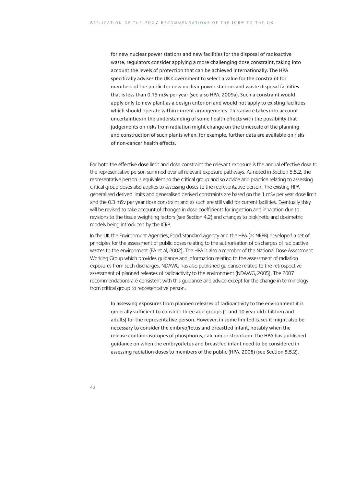for new nuclear power stations and new facilities for the disposal of radioactive waste, regulators consider applying a more challenging dose constraint, taking into account the levels of protection that can be achieved internationally. The HPA specifically advises the UK Government to select a value for the constraint for members of the public for new nuclear power stations and waste disposal facilities that is less than 0.15 mSv per year (see also HPA, 2009a). Such a constraint would apply only to new plant as a design criterion and would not apply to existing facilities which should operate within current arrangements. This advice takes into account uncertainties in the understanding of some health effects with the possibility that judgements on risks from radiation might change on the timescale of the planning and construction of such plants when, for example, further data are available on risks of non-cancer health effects.

For both the effective dose limit and dose constraint the relevant exposure is the annual effective dose to the representative person summed over all relevant exposure pathways. As noted in Section 5.5.2, the representative person is equivalent to the critical group and so advice and practice relating to assessing critical group doses also applies to assessing doses to the representative person. The existing HPA generalised derived limits and generalised derived constraints are based on the 1 mSv per year dose limit and the 0.3 mSv per year dose constraint and as such are still valid for current facilities. Eventually they will be revised to take account of changes in dose coefficients for ingestion and inhalation due to revisions to the tissue weighting factors (see Section 4.2) and changes to biokinetic and dosimetric models being introduced by the ICRP.

In the UK the Environment Agencies, Food Standard Agency and the HPA (as NRPB) developed a set of principles for the assessment of public doses relating to the authorisation of discharges of radioactive wastes to the environment (EA et al, 2002). The HPA is also a member of the National Dose Assessment Working Group which provides guidance and information relating to the assessment of radiation exposures from such discharges. NDAWG has also published guidance related to the retrospective assessment of planned releases of radioactivity to the environment (NDAWG, 2005). The 2007 recommendations are consistent with this guidance and advice except for the change in terminology from critical group to representative person.

In assessing exposures from planned releases of radioactivity to the environment it is generally sufficient to consider three age groups (1 and 10 year old children and adults) for the representative person. However, in some limited cases it might also be necessary to consider the embryo/fetus and breastfed infant, notably when the release contains isotopes of phosphorus, calcium or strontium. The HPA has published guidance on when the embryo/fetus and breastfed infant need to be considered in assessing radiation doses to members of the public (HPA, 2008) (see Section 5.5.2).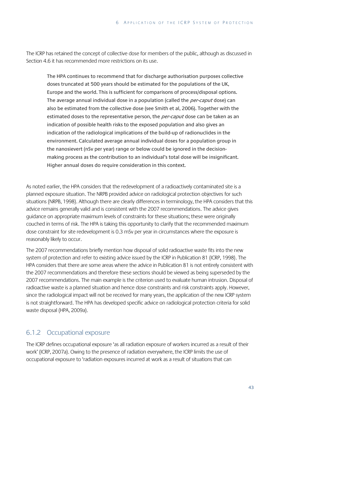The ICRP has retained the concept of collective dose for members of the public, although as discussed in Section 4.6 it has recommended more restrictions on its use.

The HPA continues to recommend that for discharge authorisation purposes collective doses truncated at 500 years should be estimated for the populations of the UK, Europe and the world. This is sufficient for comparisons of process/disposal options. The average annual individual dose in a population (called the *per-caput* dose) can also be estimated from the collective dose (see Smith et al, 2006). Together with the estimated doses to the representative person, the per-caput dose can be taken as an indication of possible health risks to the exposed population and also gives an indication of the radiological implications of the build-up of radionuclides in the environment. Calculated average annual individual doses for a population group in the nanosievert (nSv per year) range or below could be ignored in the decisionmaking process as the contribution to an individual's total dose will be insignificant. Higher annual doses do require consideration in this context.

As noted earlier, the HPA considers that the redevelopment of a radioactively contaminated site is a planned exposure situation. The NRPB provided advice on radiological protection objectives for such situations (NRPB, 1998). Although there are clearly differences in terminology, the HPA considers that this advice remains generally valid and is consistent with the 2007 recommendations. The advice gives guidance on appropriate maximum levels of constraints for these situations; these were originally couched in terms of risk. The HPA is taking this opportunity to clarify that the recommended maximum dose constraint for site redevelopment is 0.3 mSv per year in circumstances where the exposure is reasonably likely to occur.

The 2007 recommendations briefly mention how disposal of solid radioactive waste fits into the new system of protection and refer to existing advice issued by the ICRP in Publication 81 (ICRP, 1998). The HPA considers that there are some areas where the advice in Publication 81 is not entirely consistent with the 2007 recommendations and therefore these sections should be viewed as being superseded by the 2007 recommendations. The main example is the criterion used to evaluate human intrusion. Disposal of radioactive waste is a planned situation and hence dose constraints and risk constraints apply. However, since the radiological impact will not be received for many years, the application of the new ICRP system is not straightforward. The HPA has developed specific advice on radiological protection criteria for solid waste disposal (HPA, 2009a).

#### 6.1.2 Occupational exposure

The ICRP defines occupational exposure 'as all radiation exposure of workers incurred as a result of their work' (ICRP, 2007a). Owing to the presence of radiation everywhere, the ICRP limits the use of occupational exposure to 'radiation exposures incurred at work as a result of situations that can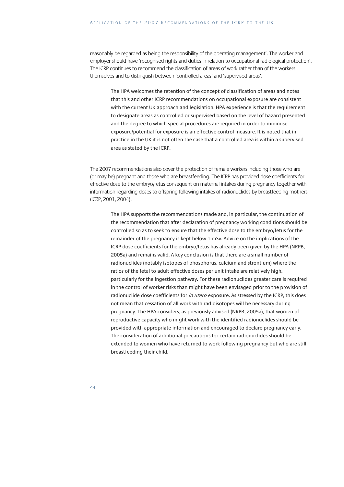reasonably be regarded as being the responsibility of the operating management'. The worker and employer should have 'recognised rights and duties in relation to occupational radiological protection'. The ICRP continues to recommend the classification of areas of work rather than of the workers themselves and to distinguish between 'controlled areas' and 'supervised areas'.

The HPA welcomes the retention of the concept of classification of areas and notes that this and other ICRP recommendations on occupational exposure are consistent with the current UK approach and legislation. HPA experience is that the requirement to designate areas as controlled or supervised based on the level of hazard presented and the degree to which special procedures are required in order to minimise exposure/potential for exposure is an effective control measure. It is noted that in practice in the UK it is not often the case that a controlled area is within a supervised area as stated by the ICRP.

The 2007 recommendations also cover the protection of female workers including those who are (or may be) pregnant and those who are breastfeeding. The ICRP has provided dose coefficients for effective dose to the embryo/fetus consequent on maternal intakes during pregnancy together with information regarding doses to offspring following intakes of radionuclides by breastfeeding mothers (ICRP, 2001, 2004).

The HPA supports the recommendations made and, in particular, the continuation of the recommendation that after declaration of pregnancy working conditions should be controlled so as to seek to ensure that the effective dose to the embryo/fetus for the remainder of the pregnancy is kept below 1 mSv. Advice on the implications of the ICRP dose coefficients for the embryo/fetus has already been given by the HPA (NRPB, 2005a) and remains valid. A key conclusion is that there are a small number of radionuclides (notably isotopes of phosphorus, calcium and strontium) where the ratios of the fetal to adult effective doses per unit intake are relatively high, particularly for the ingestion pathway. For these radionuclides greater care is required in the control of worker risks than might have been envisaged prior to the provision of radionuclide dose coefficients for in utero exposure. As stressed by the ICRP, this does not mean that cessation of all work with radioisotopes will be necessary during pregnancy. The HPA considers, as previously advised (NRPB, 2005a), that women of reproductive capacity who might work with the identified radionuclides should be provided with appropriate information and encouraged to declare pregnancy early. The consideration of additional precautions for certain radionuclides should be extended to women who have returned to work following pregnancy but who are still breastfeeding their child.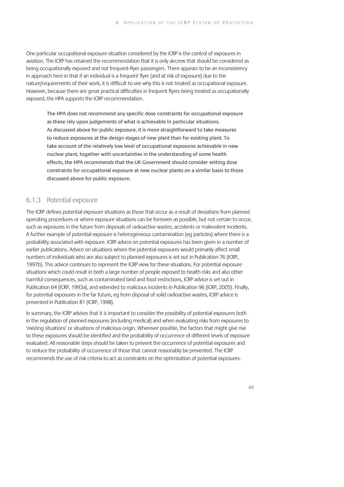One particular occupational exposure situation considered by the ICRP is the control of exposures in aviation. The ICRP has retained the recommendation that it is only aircrew that should be considered as being occupationally exposed and not frequent-flyer passengers. There appears to be an inconsistency in approach here in that if an individual is a frequent flyer (and at risk of exposure) due to the nature/requirements of their work, it is difficult to see why this is not treated as occupational exposure. However, because there are great practical difficulties in frequent flyers being treated as occupationally exposed, the HPA supports the ICRP recommendation.

The HPA does not recommend any specific dose constraints for occupational exposure as these rely upon judgements of what is achievable in particular situations. As discussed above for public exposure, it is more straightforward to take measures to reduce exposures at the design stages of new plant than for existing plant. To take account of the relatively low level of occupational exposures achievable in new nuclear plant, together with uncertainties in the understanding of some health effects, the HPA recommends that the UK Government should consider setting dose constraints for occupational exposure at new nuclear plants on a similar basis to those discussed above for public exposure.

#### 6.1.3 Potential exposure

The ICRP defines potential exposure situations as those that occur as a result of deviations from planned operating procedures or where exposure situations can be foreseen as possible, but not certain to occur, such as exposures in the future from disposals of radioactive wastes, accidents or malevolent incidents. A further example of potential exposure is heterogeneous contamination (eg particles) where there is a probability associated with exposure. ICRP advice on potential exposures has been given in a number of earlier publications. Advice on situations where the potential exposures would primarily affect small numbers of individuals who are also subject to planned exposures is set out in Publication 76 (ICRP, 1997b). This advice continues to represent the ICRP view for these situations. For potential exposure situations which could result in both a large number of people exposed to health risks and also other harmful consequences, such as contaminated land and food restrictions, ICRP advice is set out in Publication 64 (ICRP, 1993a), and extended to malicious incidents in Publication 96 (ICRP, 2005). Finally, for potential exposures in the far future, eg from disposal of solid radioactive wastes, ICRP advice is presented in Publication 81 (ICRP, 1998).

In summary, the ICRP advises that it is important to consider the possibility of potential exposures both in the regulation of planned exposures (including medical) and when evaluating risks from exposures to 'existing situations' or situations of malicious origin. Wherever possible, the factors that might give rise to these exposures should be identified and the probability of occurrence of different levels of exposure evaluated. All reasonable steps should be taken to prevent the occurrence of potential exposures and to reduce the probability of occurrence of those that cannot reasonably be prevented. The ICRP recommends the use of risk criteria to act as constraints on the optimisation of potential exposures.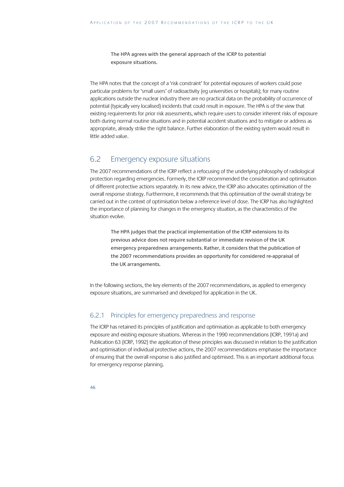The HPA agrees with the general approach of the ICRP to potential exposure situations.

The HPA notes that the concept of a 'risk constraint' for potential exposures of workers could pose particular problems for 'small users' of radioactivity (eg universities or hospitals); for many routine applications outside the nuclear industry there are no practical data on the probability of occurrence of potential (typically very localised) incidents that could result in exposure. The HPA is of the view that existing requirements for prior risk assessments, which require users to consider inherent risks of exposure both during normal routine situations and in potential accident situations and to mitigate or address as appropriate, already strike the right balance. Further elaboration of the existing system would result in little added value.

## 6.2 Emergency exposure situations

The 2007 recommendations of the ICRP reflect a refocusing of the underlying philosophy of radiological protection regarding emergencies. Formerly, the ICRP recommended the consideration and optimisation of different protective actions separately. In its new advice, the ICRP also advocates optimisation of the overall response strategy. Furthermore, it recommends that this optimisation of the overall strategy be carried out in the context of optimisation below a reference level of dose. The ICRP has also highlighted the importance of planning for changes in the emergency situation, as the characteristics of the situation evolve.

The HPA judges that the practical implementation of the ICRP extensions to its previous advice does not require substantial or immediate revision of the UK emergency preparedness arrangements. Rather, it considers that the publication of the 2007 recommendations provides an opportunity for considered re-appraisal of the UK arrangements.

In the following sections, the key elements of the 2007 recommendations, as applied to emergency exposure situations, are summarised and developed for application in the UK.

### 6.2.1 Principles for emergency preparedness and response

The ICRP has retained its principles of justification and optimisation as applicable to both emergency exposure and existing exposure situations. Whereas in the 1990 recommendations (ICRP, 1991a) and Publication 63 (ICRP, 1992) the application of these principles was discussed in relation to the justification and optimisation of individual protective actions, the 2007 recommendations emphasise the importance of ensuring that the overall response is also justified and optimised. This is an important additional focus for emergency response planning.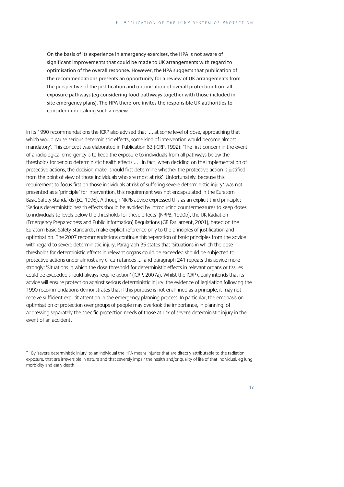On the basis of its experience in emergency exercises, the HPA is not aware of significant improvements that could be made to UK arrangements with regard to optimisation of the overall response. However, the HPA suggests that publication of the recommendations presents an opportunity for a review of UK arrangements from the perspective of the justification and optimisation of overall protection from all exposure pathways (eg considering food pathways together with those included in site emergency plans). The HPA therefore invites the responsible UK authorities to consider undertaking such a review.

In its 1990 recommendations the ICRP also advised that '… at some level of dose, approaching that which would cause serious deterministic effects, some kind of intervention would become almost mandatory'. This concept was elaborated in Publication 63 (ICRP, 1992): 'The first concern in the event of a radiological emergency is to keep the exposure to individuals from all pathways below the thresholds for serious deterministic health effects … . In fact, when deciding on the implementation of protective actions, the decision maker should first determine whether the protective action is justified from the point of view of those individuals who are most at risk'. Unfortunately, because this requirement to focus first on those individuals at risk of suffering severe deterministic injury\* was not presented as a 'principle' for intervention, this requirement was not encapsulated in the Euratom Basic Safety Standards (EC, 1996). Although NRPB advice expressed this as an explicit third principle: 'Serious deterministic health effects should be avoided by introducing countermeasures to keep doses to individuals to levels below the thresholds for these effects' (NRPB, 1990b), the UK Radiation (Emergency Preparedness and Public Information) Regulations (GB Parliament, 2001), based on the Euratom Basic Safety Standards, make explicit reference only to the principles of justification and optimisation. The 2007 recommendations continue this separation of basic principles from the advice with regard to severe deterministic injury. Paragraph 35 states that 'Situations in which the dose thresholds for deterministic effects in relevant organs could be exceeded should be subjected to protective actions under almost any circumstances …' and paragraph 241 repeats this advice more strongly: 'Situations in which the dose threshold for deterministic effects in relevant organs or tissues could be exceeded should always require action' (ICRP, 2007a). Whilst the ICRP clearly intends that its advice will ensure protection against serious deterministic injury, the evidence of legislation following the 1990 recommendations demonstrates that if this purpose is not enshrined as a principle, it may not receive sufficient explicit attention in the emergency planning process. In particular, the emphasis on optimisation of protection over groups of people may overlook the importance, in planning, of addressing separately the specific protection needs of those at risk of severe deterministic injury in the event of an accident.

<sup>\*</sup> By 'severe deterministic injury' to an individual the HPA means injuries that are directly attributable to the radiation exposure, that are irreversible in nature and that severely impair the health and/or quality of life of that individual, eg lung morbidity and early death.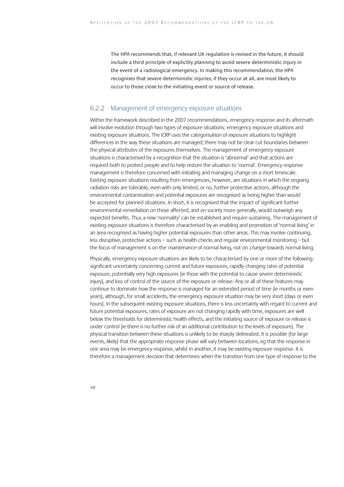The HPA recommends that, if relevant UK regulation is revised in the future, it should include a third principle of explicitly planning to avoid severe deterministic injury in the event of a radiological emergency. In making this recommendation, the HPA recognises that severe deterministic injuries, if they occur at all, are most likely to occur to those close to the initiating event or source of release.

#### 6.2.2 Management of emergency exposure situations

Within the framework described in the 2007 recommendations, emergency response and its aftermath will involve evolution through two types of exposure situations: emergency exposure situations and existing exposure situations. The ICRP uses the categorisation of exposure situations to highlight differences in the way these situations are managed; there may not be clear cut boundaries between the physical attributes of the exposures themselves. The management of emergency exposure situations is characterised by a recognition that the situation is 'abnormal' and that actions are required both to protect people and to help restore the situation to 'normal'. Emergency response management is therefore concerned with initiating and managing change on a short timescale. Existing exposure situations resulting from emergencies, however, are situations in which the ongoing radiation risks are tolerable, even with only limited, or no, further protective actions, although the environmental contamination and potential exposures are recognised as being higher than would be accepted for planned situations. In short, it is recognised that the impact of significant further environmental remediation on those affected, and on society more generally, would outweigh any expected benefits. Thus a new 'normality' can be established and require sustaining. The management of existing exposure situations is therefore characterised by an enabling and promotion of 'normal living' in an area recognised as having higher potential exposures than other areas. This may involve continuing, less disruptive, protective actions – such as health checks and regular environmental monitoring – but the focus of management is on the maintenance of normal living, not on change towards normal living.

Physically, emergency exposure situations are likely to be characterised by one or more of the following: significant uncertainty concerning current and future exposures, rapidly changing rates of potential exposure, potentially very high exposures (ie those with the potential to cause severe deterministic injury), and loss of control of the source of the exposure or release. Any or all of these features may continue to dominate how the response is managed for an extended period of time (ie months or even years), although, for small accidents, the emergency exposure situation may be very short (days or even hours). In the subsequent existing exposure situations, there is less uncertainty with regard to current and future potential exposures, rates of exposure are not changing rapidly with time, exposures are well below the thresholds for deterministic health effects, and the initiating source of exposure or release is under control (ie there is no further risk of an additional contribution to the levels of exposure). The physical transition between these situations is unlikely to be sharply delineated. It is possible (for large events, likely) that the appropriate response phase will vary between locations, eg that the response in one area may be emergency response, whilst in another, it may be existing exposure response. It is therefore a management decision that determines when the transition from one type of response to the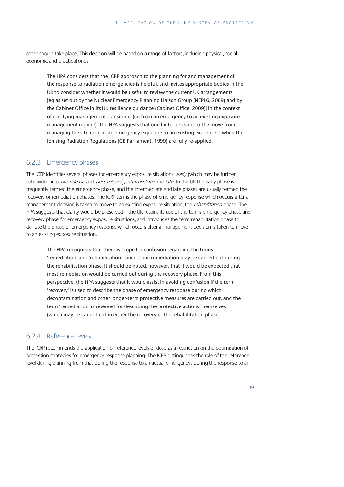other should take place. This decision will be based on a range of factors, including physical, social, economic and practical ones.

The HPA considers that the ICRP approach to the planning for and management of the response to radiation emergencies is helpful, and invites appropriate bodies in the UK to consider whether it would be useful to review the current UK arrangements [eg as set out by the Nuclear Emergency Planning Liaison Group (NEPLG, 2009) and by the Cabinet Office in its UK resilience guidance (Cabinet Office, 2009)] in the context of clarifying management transitions (eg from an emergency to an existing exposure management regime). The HPA suggests that one factor relevant to the move from managing the situation as an emergency exposure to an existing exposure is when the Ionising Radiation Regulations (GB Parliament, 1999) are fully re-applied.

#### 6.2.3 Emergency phases

The ICRP identifies several phases for emergency exposure situations: early (which may be further subdivided into pre-release and post-release), intermediate and late. In the UK the early phase is frequently termed the emergency phase, and the intermediate and late phases are usually termed the recovery or remediation phases. The ICRP terms the phase of emergency response which occurs after a management decision is taken to move to an existing exposure situation, the *rehabilitation* phase. The HPA suggests that clarity would be preserved if the UK retains its use of the terms emergency phase and recovery phase for emergency exposure situations, and introduces the term rehabilitation phase to denote the phase of emergency response which occurs after a management decision is taken to move to an existing exposure situation.

The HPA recognises that there is scope for confusion regarding the terms 'remediation' and 'rehabilitation', since some remediation may be carried out during the rehabilitation phase. It should be noted, however, that it would be expected that most remediation would be carried out during the recovery phase. From this perspective, the HPA suggests that it would assist in avoiding confusion if the term 'recovery' is used to describe the phase of emergency response during which decontamination and other longer-term protective measures are carried out, and the term 'remediation' is reserved for describing the protective actions themselves (which may be carried out in either the recovery or the rehabilitation phase).

#### 6.2.4 Reference levels

The ICRP recommends the application of reference levels of dose as a restriction on the optimisation of protection strategies for emergency response planning. The ICRP distinguishes the role of the reference level during planning from that during the response to an actual emergency. During the response to an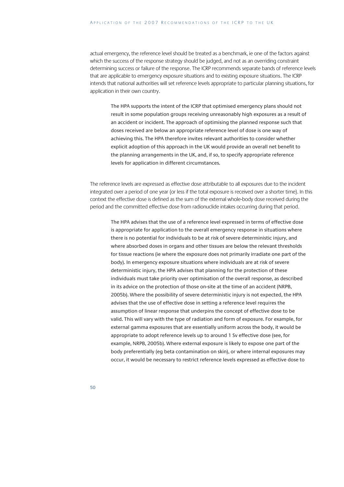actual emergency, the reference level should be treated as a benchmark, ie one of the factors against which the success of the response strategy should be judged, and not as an overriding constraint determining success or failure of the response. The ICRP recommends separate bands of reference levels that are applicable to emergency exposure situations and to existing exposure situations. The ICRP intends that national authorities will set reference levels appropriate to particular planning situations, for application in their own country.

The HPA supports the intent of the ICRP that optimised emergency plans should not result in some population groups receiving unreasonably high exposures as a result of an accident or incident. The approach of optimising the planned response such that doses received are below an appropriate reference level of dose is one way of achieving this. The HPA therefore invites relevant authorities to consider whether explicit adoption of this approach in the UK would provide an overall net benefit to the planning arrangements in the UK, and, if so, to specify appropriate reference levels for application in different circumstances.

The reference levels are expressed as effective dose attributable to all exposures due to the incident integrated over a period of one year (or less if the total exposure is received over a shorter time). In this context the effective dose is defined as the sum of the external whole-body dose received during the period and the committed effective dose from radionuclide intakes occurring during that period.

The HPA advises that the use of a reference level expressed in terms of effective dose is appropriate for application to the overall emergency response in situations where there is no potential for individuals to be at risk of severe deterministic injury, and where absorbed doses in organs and other tissues are below the relevant thresholds for tissue reactions (ie where the exposure does not primarily irradiate one part of the body). In emergency exposure situations where individuals are at risk of severe deterministic injury, the HPA advises that planning for the protection of these individuals must take priority over optimisation of the overall response, as described in its advice on the protection of those on-site at the time of an accident (NRPB, 2005b). Where the possibility of severe deterministic injury is not expected, the HPA advises that the use of effective dose in setting a reference level requires the assumption of linear response that underpins the concept of effective dose to be valid. This will vary with the type of radiation and form of exposure. For example, for external gamma exposures that are essentially uniform across the body, it would be appropriate to adopt reference levels up to around 1 Sv effective dose (see, for example, NRPB, 2005b). Where external exposure is likely to expose one part of the body preferentially (eg beta contamination on skin), or where internal exposures may occur, it would be necessary to restrict reference levels expressed as effective dose to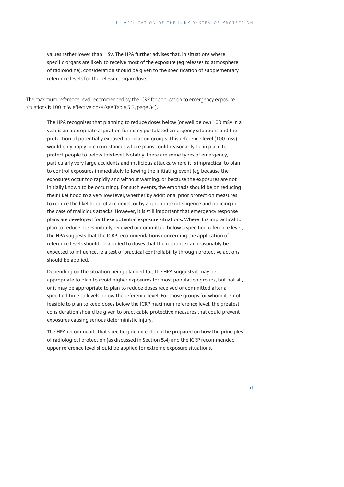values rather lower than 1 Sv. The HPA further advises that, in situations where specific organs are likely to receive most of the exposure (eg releases to atmosphere of radioiodine), consideration should be given to the specification of supplementary reference levels for the relevant organ dose.

The maximum reference level recommended by the ICRP for application to emergency exposure situations is 100 mSv effective dose (see Table 5.2, page 34).

The HPA recognises that planning to reduce doses below (or well below) 100 mSv in a year is an appropriate aspiration for many postulated emergency situations and the protection of potentially exposed population groups. This reference level (100 mSv) would only apply in circumstances where plans could reasonably be in place to protect people to below this level. Notably, there are some types of emergency, particularly very large accidents and malicious attacks, where it is impractical to plan to control exposures immediately following the initiating event (eg because the exposures occur too rapidly and without warning, or because the exposures are not initially known to be occurring). For such events, the emphasis should be on reducing their likelihood to a very low level, whether by additional prior protection measures to reduce the likelihood of accidents, or by appropriate intelligence and policing in the case of malicious attacks. However, it is still important that emergency response plans are developed for these potential exposure situations. Where it is impractical to plan to reduce doses initially received or committed below a specified reference level, the HPA suggests that the ICRP recommendations concerning the application of reference levels should be applied to doses that the response can reasonably be expected to influence, ie a test of practical controllability through protective actions should be applied.

Depending on the situation being planned for, the HPA suggests it may be appropriate to plan to avoid higher exposures for most population groups, but not all, or it may be appropriate to plan to reduce doses received or committed after a specified time to levels below the reference level. For those groups for whom it is not feasible to plan to keep doses below the ICRP maximum reference level, the greatest consideration should be given to practicable protective measures that could prevent exposures causing serious deterministic injury.

The HPA recommends that specific guidance should be prepared on how the principles of radiological protection (as discussed in Section 5.4) and the ICRP recommended upper reference level should be applied for extreme exposure situations.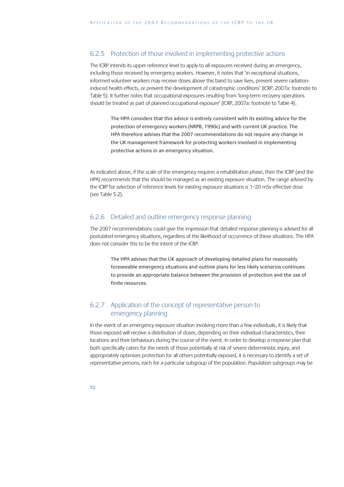#### 6.2.5 Protection of those involved in implementing protective actions

The ICRP intends its upper reference level to apply to all exposures received during an emergency, including those received by emergency workers. However, it notes that 'in exceptional situations, informed volunteer workers may receive doses above this band to save lives, prevent severe radiationinduced health effects, or prevent the development of catastrophic conditions' (ICRP, 2007a: footnote to Table 5). It further notes that occupational exposures resulting from 'long-term recovery operations should be treated as part of planned occupational exposure' (ICRP, 2007a: footnote to Table 4).

The HPA considers that this advice is entirely consistent with its existing advice for the protection of emergency workers (NRPB, 1990c) and with current UK practice. The HPA therefore advises that the 2007 recommendations do not require any change in the UK management framework for protecting workers involved in implementing protective actions in an emergency situation.

As indicated above, if the scale of the emergency requires a rehabilitation phase, then the ICRP (and the HPA) recommends that this should be managed as an existing exposure situation. The range advised by the ICRP for selection of reference levels for existing exposure situations is 1–20 mSv effective dose (see Table 5.2).

#### 6.2.6 Detailed and outline emergency response planning

The 2007 recommendations could give the impression that detailed response planning is advised for all postulated emergency situations, regardless of the likelihood of occurrence of these situations. The HPA does not consider this to be the intent of the ICRP.

The HPA advises that the UK approach of developing detailed plans for reasonably foreseeable emergency situations and outline plans for less likely scenarios continues to provide an appropriate balance between the provision of protection and the use of finite resources.

### 6.2.7 Application of the concept of representative person to emergency planning

In the event of an emergency exposure situation involving more than a few individuals, it is likely that those exposed will receive a distribution of doses, depending on their individual characteristics, their locations and their behaviours during the course of the event. In order to develop a response plan that both specifically caters for the needs of those potentially at risk of severe deterministic injury, and appropriately optimises protection for all others potentially exposed, it is necessary to identify a set of representative persons, each for a particular subgroup of the population. Population subgroups may be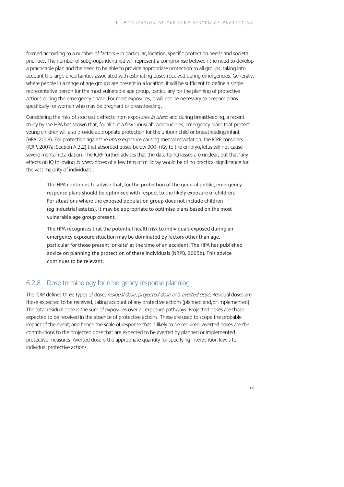formed according to a number of factors – in particular, location, specific protection needs and societal priorities. The number of subgroups identified will represent a compromise between the need to develop a practicable plan and the need to be able to provide appropriate protection to all groups, taking into account the large uncertainties associated with estimating doses received during emergencies. Generally, where people in a range of age groups are present in a location, it will be sufficient to define a single representative person for the most vulnerable age group, particularly for the planning of protective actions during the emergency phase. For most exposures, it will not be necessary to prepare plans specifically for women who may be pregnant or breastfeeding.

Considering the risks of stochastic effects from exposures in utero and during breastfeeding, a recent study by the HPA has shown that, for all but a few 'unusual' radionuclides, emergency plans that protect young children will also provide appropriate protection for the unborn child or breastfeeding infant (HPA, 2008). For protection against in utero exposure causing mental retardation, the ICRP considers (ICRP, 2007a: Section A.3.2) that absorbed doses below 300 mGy to the embryo/fetus will not cause severe mental retardation. The ICRP further advises that the data for IQ losses are unclear, but that 'any effects on IQ following *in utero* doses of a few tens of milligray would be of no practical significance for the vast majority of individuals'.

The HPA continues to advise that, for the protection of the general public, emergency response plans should be optimised with respect to the likely exposure of children. For situations where the exposed population group does not include children (eg industrial estates), it may be appropriate to optimise plans based on the most vulnerable age group present.

The HPA recognises that the potential health risk to individuals exposed during an emergency exposure situation may be dominated by factors other than age, particular for those present 'on-site' at the time of an accident. The HPA has published advice on planning the protection of these individuals (NRPB, 2005b). This advice continues to be relevant.

#### 6.2.8 Dose terminology for emergency response planning

The ICRP defines three types of dose: residual dose, projected dose and averted dose. Residual doses are those expected to be received, taking account of any protective actions (planned and/or implemented). The total residual dose is the sum of exposures over all exposure pathways. Projected doses are those expected to be received in the absence of protective actions. These are used to scope the probable impact of the event, and hence the scale of response that is likely to be required. Averted doses are the contributions to the projected dose that are expected to be averted by planned or implemented protective measures. Averted dose is the appropriate quantity for specifying intervention levels for individual protective actions.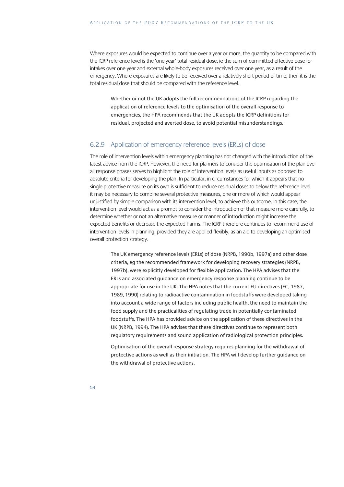Where exposures would be expected to continue over a year or more, the quantity to be compared with the ICRP reference level is the 'one year' total residual dose, ie the sum of committed effective dose for intakes over one year and external whole-body exposures received over one year, as a result of the emergency. Where exposures are likely to be received over a relatively short period of time, then it is the total residual dose that should be compared with the reference level.

Whether or not the UK adopts the full recommendations of the ICRP regarding the application of reference levels to the optimisation of the overall response to emergencies, the HPA recommends that the UK adopts the ICRP definitions for residual, projected and averted dose, to avoid potential misunderstandings.

#### 6.2.9 Application of emergency reference levels (ERLs) of dose

The role of intervention levels within emergency planning has not changed with the introduction of the latest advice from the ICRP. However, the need for planners to consider the optimisation of the plan over all response phases serves to highlight the role of intervention levels as useful inputs as opposed to absolute criteria for developing the plan. In particular, in circumstances for which it appears that no single protective measure on its own is sufficient to reduce residual doses to below the reference level, it may be necessary to combine several protective measures, one or more of which would appear unjustified by simple comparison with its intervention level, to achieve this outcome. In this case, the intervention level would act as a prompt to consider the introduction of that measure more carefully, to determine whether or not an alternative measure or manner of introduction might increase the expected benefits or decrease the expected harms. The ICRP therefore continues to recommend use of intervention levels in planning, provided they are applied flexibly, as an aid to developing an optimised overall protection strategy.

The UK emergency reference levels (ERLs) of dose (NRPB, 1990b, 1997a) and other dose criteria, eg the recommended framework for developing recovery strategies (NRPB, 1997b), were explicitly developed for flexible application. The HPA advises that the ERLs and associated guidance on emergency response planning continue to be appropriate for use in the UK. The HPA notes that the current EU directives (EC, 1987, 1989, 1990) relating to radioactive contamination in foodstuffs were developed taking into account a wide range of factors including public health, the need to maintain the food supply and the practicalities of regulating trade in potentially contaminated foodstuffs. The HPA has provided advice on the application of these directives in the UK (NRPB, 1994). The HPA advises that these directives continue to represent both regulatory requirements and sound application of radiological protection principles.

Optimisation of the overall response strategy requires planning for the withdrawal of protective actions as well as their initiation. The HPA will develop further guidance on the withdrawal of protective actions.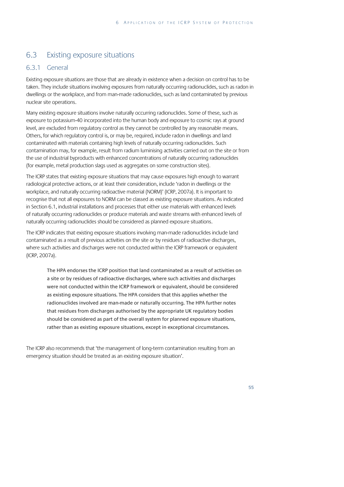## 6.3 Existing exposure situations

#### 6.3.1 General

Existing exposure situations are those that are already in existence when a decision on control has to be taken. They include situations involving exposures from naturally occurring radionuclides, such as radon in dwellings or the workplace, and from man-made radionuclides, such as land contaminated by previous nuclear site operations.

Many existing exposure situations involve naturally occurring radionuclides. Some of these, such as exposure to potassium-40 incorporated into the human body and exposure to cosmic rays at ground level, are excluded from regulatory control as they cannot be controlled by any reasonable means. Others, for which regulatory control is, or may be, required, include radon in dwellings and land contaminated with materials containing high levels of naturally occurring radionuclides. Such contamination may, for example, result from radium luminising activities carried out on the site or from the use of industrial byproducts with enhanced concentrations of naturally occurring radionuclides (for example, metal production slags used as aggregates on some construction sites).

The ICRP states that existing exposure situations that may cause exposures high enough to warrant radiological protective actions, or at least their consideration, include 'radon in dwellings or the workplace, and naturally occurring radioactive material (NORM)' (ICRP, 2007a). It is important to recognise that not all exposures to NORM can be classed as existing exposure situations. As indicated in Section 6.1, industrial installations and processes that either use materials with enhanced levels of naturally occurring radionuclides or produce materials and waste streams with enhanced levels of naturally occurring radionuclides should be considered as planned exposure situations.

The ICRP indicates that existing exposure situations involving man-made radionuclides include land contaminated as a result of previous activities on the site or by residues of radioactive discharges, where such activities and discharges were not conducted within the ICRP framework or equivalent (ICRP, 2007a).

The HPA endorses the ICRP position that land contaminated as a result of activities on a site or by residues of radioactive discharges, where such activities and discharges were not conducted within the ICRP framework or equivalent, should be considered as existing exposure situations. The HPA considers that this applies whether the radionuclides involved are man-made or naturally occurring. The HPA further notes that residues from discharges authorised by the appropriate UK regulatory bodies should be considered as part of the overall system for planned exposure situations, rather than as existing exposure situations, except in exceptional circumstances.

The ICRP also recommends that 'the management of long-term contamination resulting from an emergency situation should be treated as an existing exposure situation'.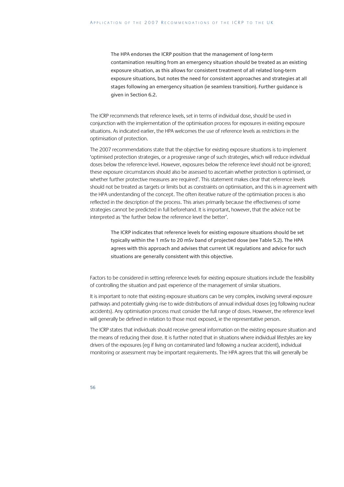The HPA endorses the ICRP position that the management of long-term contamination resulting from an emergency situation should be treated as an existing exposure situation, as this allows for consistent treatment of all related long-term exposure situations, but notes the need for consistent approaches and strategies at all stages following an emergency situation (ie seamless transition). Further guidance is given in Section 6.2.

The ICRP recommends that reference levels, set in terms of individual dose, should be used in conjunction with the implementation of the optimisation process for exposures in existing exposure situations. As indicated earlier, the HPA welcomes the use of reference levels as restrictions in the optimisation of protection.

The 2007 recommendations state that the objective for existing exposure situations is to implement 'optimised protection strategies, or a progressive range of such strategies, which will reduce individual doses below the reference level. However, exposures below the reference level should not be ignored; these exposure circumstances should also be assessed to ascertain whether protection is optimised, or whether further protective measures are required'. This statement makes clear that reference levels should not be treated as targets or limits but as constraints on optimisation, and this is in agreement with the HPA understanding of the concept. The often iterative nature of the optimisation process is also reflected in the description of the process. This arises primarily because the effectiveness of some strategies cannot be predicted in full beforehand. It is important, however, that the advice not be interpreted as 'the further below the reference level the better'.

The ICRP indicates that reference levels for existing exposure situations should be set typically within the 1 mSv to 20 mSv band of projected dose (see Table 5.2). The HPA agrees with this approach and advises that current UK regulations and advice for such situations are generally consistent with this objective.

Factors to be considered in setting reference levels for existing exposure situations include the feasibility of controlling the situation and past experience of the management of similar situations.

It is important to note that existing exposure situations can be very complex, involving several exposure pathways and potentially giving rise to wide distributions of annual individual doses (eg following nuclear accidents). Any optimisation process must consider the full range of doses. However, the reference level will generally be defined in relation to those most exposed, ie the representative person.

The ICRP states that individuals should receive general information on the existing exposure situation and the means of reducing their dose. It is further noted that in situations where individual lifestyles are key drivers of the exposures (eg if living on contaminated land following a nuclear accident), individual monitoring or assessment may be important requirements. The HPA agrees that this will generally be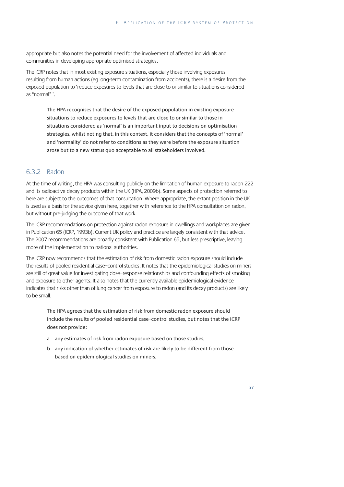appropriate but also notes the potential need for the involvement of affected individuals and communities in developing appropriate optimised strategies.

The ICRP notes that in most existing exposure situations, especially those involving exposures resulting from human actions (eg long-term contamination from accidents), there is a desire from the exposed population to 'reduce exposures to levels that are close to or similar to situations considered as "normal" '.

The HPA recognises that the desire of the exposed population in existing exposure situations to reduce exposures to levels that are close to or similar to those in situations considered as 'normal' is an important input to decisions on optimisation strategies, whilst noting that, in this context, it considers that the concepts of 'normal' and 'normality' do not refer to conditions as they were before the exposure situation arose but to a new status quo acceptable to all stakeholders involved.

#### 6.3.2 Radon

At the time of writing, the HPA was consulting publicly on the limitation of human exposure to radon-222 and its radioactive decay products within the UK (HPA, 2009b). Some aspects of protection referred to here are subject to the outcomes of that consultation. Where appropriate, the extant position in the UK is used as a basis for the advice given here, together with reference to the HPA consultation on radon, but without pre-judging the outcome of that work.

The ICRP recommendations on protection against radon exposure in dwellings and workplaces are given in Publication 65 (ICRP, 1993b). Current UK policy and practice are largely consistent with that advice. The 2007 recommendations are broadly consistent with Publication 65, but less prescriptive, leaving more of the implementation to national authorities.

The ICRP now recommends that the estimation of risk from domestic radon exposure should include the results of pooled residential case–control studies. It notes that the epidemiological studies on miners are still of great value for investigating dose–response relationships and confounding effects of smoking and exposure to other agents. It also notes that the currently available epidemiological evidence indicates that risks other than of lung cancer from exposure to radon (and its decay products) are likely to be small.

The HPA agrees that the estimation of risk from domestic radon exposure should include the results of pooled residential case–control studies, but notes that the ICRP does not provide:

- a any estimates of risk from radon exposure based on those studies,
- b any indication of whether estimates of risk are likely to be different from those based on epidemiological studies on miners,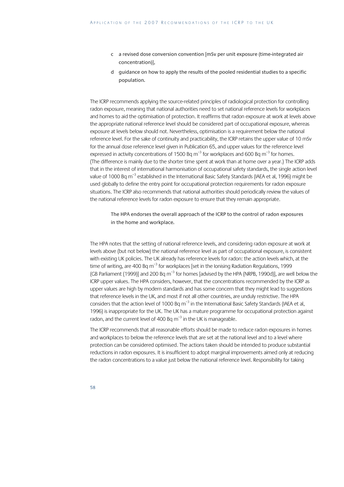- c a revised dose conversion convention [mSv per unit exposure (time-integrated air concentration)],
- d guidance on how to apply the results of the pooled residential studies to a specific population.

The ICRP recommends applying the source-related principles of radiological protection for controlling radon exposure, meaning that national authorities need to set national reference levels for workplaces and homes to aid the optimisation of protection. It reaffirms that radon exposure at work at levels above the appropriate national reference level should be considered part of occupational exposure, whereas exposure at levels below should not. Nevertheless, optimisation is a requirement below the national reference level. For the sake of continuity and practicability, the ICRP retains the upper value of 10 mSv for the annual dose reference level given in Publication 65, and upper values for the reference level expressed in activity concentrations of 1500 Bq  $m^{-3}$  for workplaces and 600 Bq  $m^{-3}$  for homes. (The difference is mainly due to the shorter time spent at work than at home over a year.) The ICRP adds that in the interest of international harmonisation of occupational safety standards, the single action level value of 1000 Bq m<sup>-3</sup> established in the International Basic Safety Standards (IAEA et al, 1996) might be used globally to define the entry point for occupational protection requirements for radon exposure situations. The ICRP also recommends that national authorities should periodically review the values of the national reference levels for radon exposure to ensure that they remain appropriate.

The HPA endorses the overall approach of the ICRP to the control of radon exposures in the home and workplace.

The HPA notes that the setting of national reference levels, and considering radon exposure at work at levels above (but not below) the national reference level as part of occupational exposure, is consistent with existing UK policies. The UK already has reference levels for radon: the action levels which, at the time of writing, are 400 Bq  $m^{-3}$  for workplaces [set in the lonising Radiation Regulations, 1999 (GB Parliament (1999)] and 200 Bq  $m^{-3}$  for homes [advised by the HPA (NRPB, 1990d)], are well below the ICRP upper values. The HPA considers, however, that the concentrations recommended by the ICRP as upper values are high by modern standards and has some concern that they might lead to suggestions that reference levels in the UK, and most if not all other countries, are unduly restrictive. The HPA considers that the action level of 1000 Bq m<sup>-3</sup> in the International Basic Safety Standards (IAEA et al, 1996) is inappropriate for the UK. The UK has a mature programme for occupational protection against radon, and the current level of 400 Bq  $m^{-3}$  in the UK is manageable.

The ICRP recommends that all reasonable efforts should be made to reduce radon exposures in homes and workplaces to below the reference levels that are set at the national level and to a level where protection can be considered optimised. The actions taken should be intended to produce substantial reductions in radon exposures. It is insufficient to adopt marginal improvements aimed only at reducing the radon concentrations to a value just below the national reference level. Responsibility for taking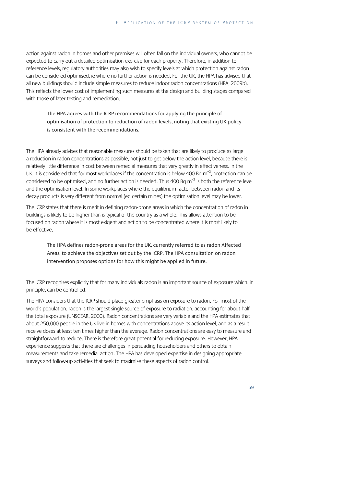action against radon in homes and other premises will often fall on the individual owners, who cannot be expected to carry out a detailed optimisation exercise for each property. Therefore, in addition to reference levels, regulatory authorities may also wish to specify levels at which protection against radon can be considered optimised, ie where no further action is needed. For the UK, the HPA has advised that all new buildings should include simple measures to reduce indoor radon concentrations (HPA, 2009b). This reflects the lower cost of implementing such measures at the design and building stages compared with those of later testing and remediation.

The HPA agrees with the ICRP recommendations for applying the principle of optimisation of protection to reduction of radon levels, noting that existing UK policy is consistent with the recommendations.

The HPA already advises that reasonable measures should be taken that are likely to produce as large a reduction in radon concentrations as possible, not just to get below the action level, because there is relatively little difference in cost between remedial measures that vary greatly in effectiveness. In the UK, it is considered that for most workplaces if the concentration is below 400 Bq  $m^{-3}$ , protection can be considered to be optimised, and no further action is needed. Thus 400 Bq  $m^{-3}$  is both the reference level and the optimisation level. In some workplaces where the equilibrium factor between radon and its decay products is very different from normal (eg certain mines) the optimisation level may be lower.

The ICRP states that there is merit in defining radon-prone areas in which the concentration of radon in buildings is likely to be higher than is typical of the country as a whole. This allows attention to be focused on radon where it is most exigent and action to be concentrated where it is most likely to be effective.

The HPA defines radon-prone areas for the UK, currently referred to as radon Affected Areas, to achieve the objectives set out by the ICRP. The HPA consultation on radon intervention proposes options for how this might be applied in future.

The ICRP recognises explicitly that for many individuals radon is an important source of exposure which, in principle, can be controlled.

The HPA considers that the ICRP should place greater emphasis on exposure to radon. For most of the world's population, radon is the largest single source of exposure to radiation, accounting for about half the total exposure (UNSCEAR, 2000). Radon concentrations are very variable and the HPA estimates that about 250,000 people in the UK live in homes with concentrations above its action level, and as a result receive doses at least ten times higher than the average. Radon concentrations are easy to measure and straightforward to reduce. There is therefore great potential for reducing exposure. However, HPA experience suggests that there are challenges in persuading householders and others to obtain measurements and take remedial action. The HPA has developed expertise in designing appropriate surveys and follow-up activities that seek to maximise these aspects of radon control.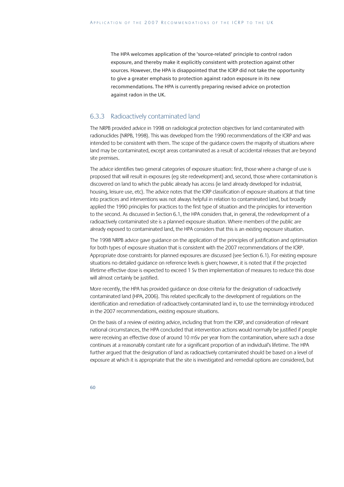The HPA welcomes application of the 'source-related' principle to control radon exposure, and thereby make it explicitly consistent with protection against other sources. However, the HPA is disappointed that the ICRP did not take the opportunity to give a greater emphasis to protection against radon exposure in its new recommendations. The HPA is currently preparing revised advice on protection against radon in the UK.

#### 6.3.3 Radioactively contaminated land

The NRPB provided advice in 1998 on radiological protection objectives for land contaminated with radionuclides (NRPB, 1998). This was developed from the 1990 recommendations of the ICRP and was intended to be consistent with them. The scope of the guidance covers the majority of situations where land may be contaminated, except areas contaminated as a result of accidental releases that are beyond site premises.

The advice identifies two general categories of exposure situation: first, those where a change of use is proposed that will result in exposures (eg site redevelopment) and, second, those where contamination is discovered on land to which the public already has access (ie land already developed for industrial, housing, leisure use, etc). The advice notes that the ICRP classification of exposure situations at that time into practices and interventions was not always helpful in relation to contaminated land, but broadly applied the 1990 principles for practices to the first type of situation and the principles for intervention to the second. As discussed in Section 6.1, the HPA considers that, in general, the redevelopment of a radioactively contaminated site is a planned exposure situation. Where members of the public are already exposed to contaminated land, the HPA considers that this is an existing exposure situation.

The 1998 NRPB advice gave guidance on the application of the principles of justification and optimisation for both types of exposure situation that is consistent with the 2007 recommendations of the ICRP. Appropriate dose constraints for planned exposures are discussed (see Section 6.1). For existing exposure situations no detailed guidance on reference levels is given; however, it is noted that if the projected lifetime effective dose is expected to exceed 1 Sv then implementation of measures to reduce this dose will almost certainly be justified.

More recently, the HPA has provided guidance on dose criteria for the designation of radioactively contaminated land (HPA, 2006). This related specifically to the development of regulations on the identification and remediation of radioactively contaminated land in, to use the terminology introduced in the 2007 recommendations, existing exposure situations.

On the basis of a review of existing advice, including that from the ICRP, and consideration of relevant national circumstances, the HPA concluded that intervention actions would normally be justified if people were receiving an effective dose of around 10 mSv per year from the contamination, where such a dose continues at a reasonably constant rate for a significant proportion of an individual's lifetime. The HPA further argued that the designation of land as radioactively contaminated should be based on a level of exposure at which it is appropriate that the site is investigated and remedial options are considered, but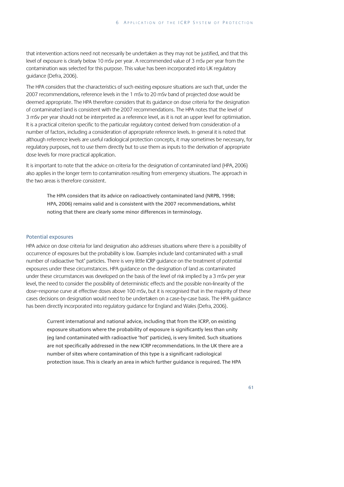that intervention actions need not necessarily be undertaken as they may not be justified, and that this level of exposure is clearly below 10 mSv per year. A recommended value of 3 mSv per year from the contamination was selected for this purpose. This value has been incorporated into UK regulatory guidance (Defra, 2006).

The HPA considers that the characteristics of such existing exposure situations are such that, under the 2007 recommendations, reference levels in the 1 mSv to 20 mSv band of projected dose would be deemed appropriate. The HPA therefore considers that its guidance on dose criteria for the designation of contaminated land is consistent with the 2007 recommendations. The HPA notes that the level of 3 mSv per year should not be interpreted as a reference level, as it is not an upper level for optimisation. It is a practical criterion specific to the particular regulatory context derived from consideration of a number of factors, including a consideration of appropriate reference levels. In general it is noted that although reference levels are useful radiological protection concepts, it may sometimes be necessary, for regulatory purposes, not to use them directly but to use them as inputs to the derivation of appropriate dose levels for more practical application.

It is important to note that the advice on criteria for the designation of contaminated land (HPA, 2006) also applies in the longer term to contamination resulting from emergency situations. The approach in the two areas is therefore consistent.

The HPA considers that its advice on radioactively contaminated land (NRPB, 1998; HPA, 2006) remains valid and is consistent with the 2007 recommendations, whilst noting that there are clearly some minor differences in terminology.

#### Potential exposures

HPA advice on dose criteria for land designation also addresses situations where there is a possibility of occurrence of exposures but the probability is low. Examples include land contaminated with a small number of radioactive 'hot' particles. There is very little ICRP guidance on the treatment of potential exposures under these circumstances. HPA guidance on the designation of land as contaminated under these circumstances was developed on the basis of the level of risk implied by a 3 mSv per year level, the need to consider the possibility of deterministic effects and the possible non-linearity of the dose–response curve at effective doses above 100 mSv, but it is recognised that in the majority of these cases decisions on designation would need to be undertaken on a case-by-case basis. The HPA guidance has been directly incorporated into regulatory guidance for England and Wales (Defra, 2006).

Current international and national advice, including that from the ICRP, on existing exposure situations where the probability of exposure is significantly less than unity (eg land contaminated with radioactive 'hot' particles), is very limited. Such situations are not specifically addressed in the new ICRP recommendations. In the UK there are a number of sites where contamination of this type is a significant radiological protection issue. This is clearly an area in which further guidance is required. The HPA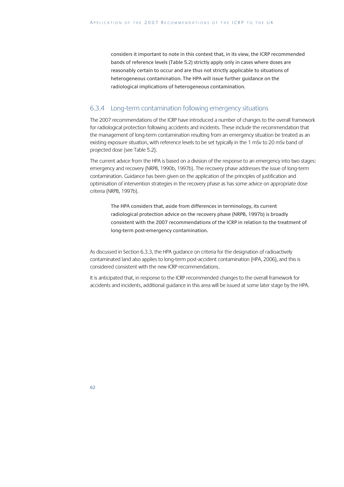considers it important to note in this context that, in its view, the ICRP recommended bands of reference levels (Table 5.2) strictly apply only in cases where doses are reasonably certain to occur and are thus not strictly applicable to situations of heterogeneous contamination. The HPA will issue further guidance on the radiological implications of heterogeneous contamination.

#### 6.3.4 Long-term contamination following emergency situations

The 2007 recommendations of the ICRP have introduced a number of changes to the overall framework for radiological protection following accidents and incidents. These include the recommendation that the management of long-term contamination resulting from an emergency situation be treated as an existing exposure situation, with reference levels to be set typically in the 1 mSv to 20 mSv band of projected dose (see Table 5.2).

The current advice from the HPA is based on a division of the response to an emergency into two stages: emergency and recovery (NRPB, 1990b, 1997b). The recovery phase addresses the issue of long-term contamination. Guidance has been given on the application of the principles of justification and optimisation of intervention strategies in the recovery phase as has some advice on appropriate dose criteria (NRPB, 1997b).

The HPA considers that, aside from differences in terminology, its current radiological protection advice on the recovery phase (NRPB, 1997b) is broadly consistent with the 2007 recommendations of the ICRP in relation to the treatment of long-term post-emergency contamination.

As discussed in Section 6.3.3, the HPA guidance on criteria for the designation of radioactively contaminated land also applies to long-term post-accident contamination (HPA, 2006), and this is considered consistent with the new ICRP recommendations.

It is anticipated that, in response to the ICRP recommended changes to the overall framework for accidents and incidents, additional guidance in this area will be issued at some later stage by the HPA.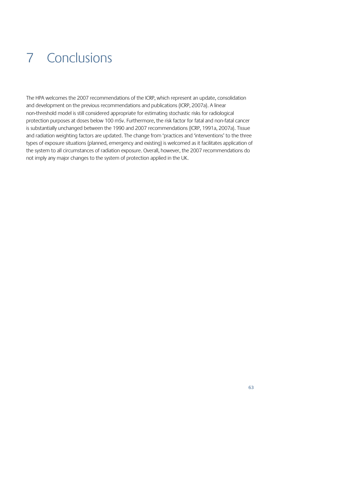# 7 Conclusions

The HPA welcomes the 2007 recommendations of the ICRP, which represent an update, consolidation and development on the previous recommendations and publications (ICRP, 2007a). A linear non-threshold model is still considered appropriate for estimating stochastic risks for radiological protection purposes at doses below 100 mSv. Furthermore, the risk factor for fatal and non-fatal cancer is substantially unchanged between the 1990 and 2007 recommendations (ICRP, 1991a, 2007a). Tissue and radiation weighting factors are updated. The change from 'practices and 'interventions' to the three types of exposure situations (planned, emergency and existing) is welcomed as it facilitates application of the system to all circumstances of radiation exposure. Overall, however, the 2007 recommendations do not imply any major changes to the system of protection applied in the UK.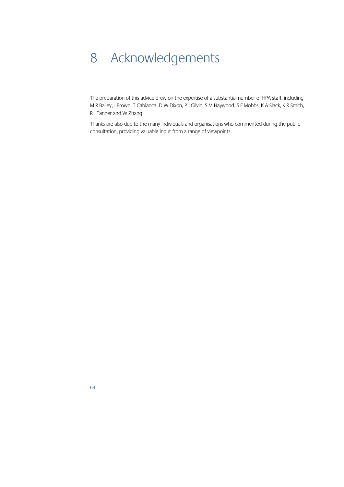## 8 Acknowledgements

The preparation of this advice drew on the expertise of a substantial number of HPA staff, including M R Bailey, J Brown, T Cabianca, D W Dixon, P J Gilvin, S M Haywood, S F Mobbs, K A Slack, K R Smith, R J Tanner and W Zhang.

Thanks are also due to the many individuals and organisations who commented during the public consultation, providing valuable input from a range of viewpoints.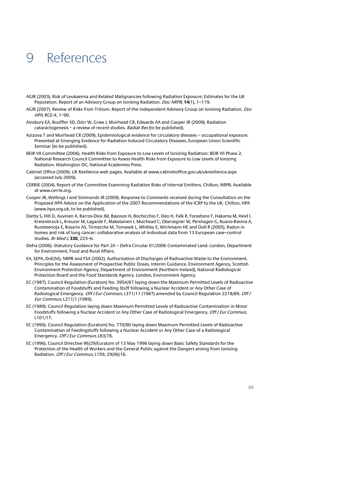## 9 References

- AGIR (2003). Risk of Leukaemia and Related Malignancies following Radiation Exposure: Estimates for the UK Population. Report of an Advisory Group on Ionising Radiation. Doc NRPB, **14**(1), 1–119.
- AGIR (2007). Review of Risks from Tritium. Report of the independent Advisory Group on Ionising Radiation. Doc HPA, RCE-4, 1–90.
- Ainsbury EA, Bouffler SD, Dörr W, Graw J, Muirhead CR, Edwards AA and Cooper JR (2009). Radiation cataractogenesis – a review of recent studies. Radiat Res (to be published).
- Azizova T and Muirhead CR (2009). Epidemiological evidence for circulatory diseases occupational exposure. Presented at Emerging Evidence for Radiation Induced Circulatory Diseases, European Union Scientific Seminar (to be published).
- BEIR VII Committee (2006). Health Risks from Exposure to Low Levels of Ionizing Radiation: BEIR VII Phase 2. National Research Council Committee to Assess Health Risks from Exposure to Low Levels of Ionizing Radiation. Washington DC, National Academies Press.
- Cabinet Office (2009). UK Resilience web pages. Available at www.cabinetoffice.gov.uk/ukresilience.aspx (accessed July 2009).
- CERRIE (2004). Report of the Committee Examining Radiation Risks of Internal Emitters. Chilton, NRPB. Available at www.cerrie.org.
- Cooper JR, Wellings J and Simmonds JR (2009). Response to Comments received during the Consultation on the Proposed HPA Advice on the Application of the 2007 Recommendations of the ICRP to the UK. Chilton, HPA (www.hpa.org.uk, to be published).
- Darby S, Hill D, Auvinen A, Barros-Dios JM, Baysson H, Bochicchio F, Deo H, Falk R, Forastiere F, Hakama M, Heid I, Kreienbrock L, Kreuzer M, Lagarde F, Makelainen I, Muirhead C, Oberaigner W, Pershagen G, Ruano-Ravina A, Ruosteenoja E, Rosario AS, Tirmarche M, Tomasek L, Whitley E, Wichmann HE and Doll R (2005). Radon in homes and risk of lung cancer: collaborative analysis of individual data from 13 European case–control studies. Br Med J, **330,** 223–6.
- Defra (2006). Statutory Guidance for Part 2A Defra Circular 01/2006 Contaminated Land. London, Department for Environment, Food and Rural Affairs.
- EA, SEPA, DoE(NI), NRPB and FSA (2002). Authorisation of Discharges of Radioactive Waste to the Environment. Principles for the Assessment of Prospective Public Doses. Interim Guidance. Environment Agency, Scottish Environment Protection Agency, Department of Environment (Northern Ireland), National Radiological Protection Board and the Food Standards Agency. London, Environment Agency.
- EC (1987). Council Regulation (Euratom) No. 3954/87 laying down the Maximum Permitted Levels of Radioactive Contamination of Foodstuffs and Feeding Stuff following a Nuclear Accident or Any Other Case of Radiological Emergency. Off J Eur Common, L371/11 (1987) amended by Council Regulation 2218/89. Off J Eur Commun, L211/1 (1989).
- EC (1989). Council Regulation laying down Maximum Permitted Levels of Radioactive Contamination in Minor Foodstuffs following a Nuclear Accident or Any Other Case of Radiological Emergency. *Off J Eur Commun*, L101/17.
- EC (1990). Council Regulation (Euratom) No. 770/90 laying down Maximum Permitted Levels of Radioactive Contamination of Feedingstuffs following a Nuclear Accident or Any Other Case of a Radiological Emergency. Off J Eur Commun, L83/78.
- EC (1996). Council Directive 96/29/Euratom of 13 May 1996 laying down Basic Safety Standards for the Protection of the Health of Workers and the General Public against the Dangers arising from Ionizing Radiation. Off J Eur Commun, L159, 29/06/16.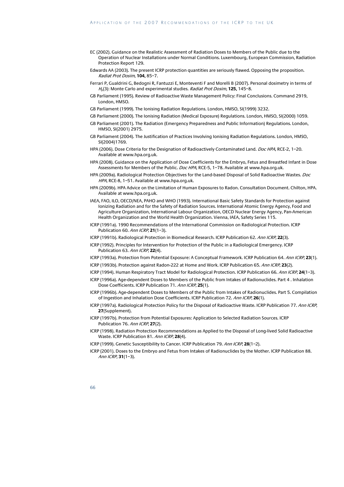- EC (2002). Guidance on the Realistic Assessment of Radiation Doses to Members of the Public due to the Operation of Nuclear Installations under Normal Conditions. Luxembourg, European Commission, Radiation Protection Report 129.
- Edwards AA (2003). The present ICRP protection quantities are seriously flawed. Opposing the proposition. Radiat Prot Dosim, **104,** 85–7.
- Ferrari P, Gualdrini G, Bedogni R, Fantuzzi E, Monteventi F and Morelli B (2007). Personal dosimetry in terms of <sup>H</sup>p(3): Monte Carlo and experimental studies. Radiat Prot Dosim, **125,** 145–8.
- GB Parliament (1995). Review of Radioactive Waste Management Policy: Final Conclusions. Command 2919, London, HMSO.
- GB Parliament (1999). The Ionising Radiation Regulations. London, HMSO, SI(1999) 3232.
- GB Parliament (2000). The Ionising Radiation (Medical Exposure) Regulations. London, HMSO, SI(2000) 1059.
- GB Parliament (2001). The Radiation (Emergency Preparedness and Public Information) Regulations. London, HMSO, SI(2001) 2975.
- GB Parliament (2004). The Justification of Practices Involving Ionising Radiation Regulations. London, HMSO, SI(2004)1769.
- HPA (2006). Dose Criteria for the Designation of Radioactively Contaminated Land. Doc HPA, RCE-2, 1-20. Available at www.hpa.org.uk.
- HPA (2008). Guidance on the Application of Dose Coefficients for the Embryo, Fetus and Breastfed Infant in Dose Assessments for Members of the Public. Doc HPA, RCE-5, 1-78. Available at www.hpa.org.uk.
- HPA (2009a). Radiological Protection Objectives for the Land-based Disposal of Solid Radioactive Wastes. Doc HPA, RCE-8, 1-51. Available at www.hpa.org.uk.
- HPA (2009b). HPA Advice on the Limitation of Human Exposures to Radon. Consultation Document. Chilton, HPA. Available at www.hpa.org.uk.
- IAEA, FAO, ILO, OECD/NEA, PAHO and WHO (1993). International Basic Safety Standards for Protection against Ionizing Radiation and for the Safety of Radiation Sources. International Atomic Energy Agency, Food and Agriculture Organization, International Labour Organization, OECD Nuclear Energy Agency, Pan-American Health Organization and the World Health Organization. Vienna, IAEA, Safety Series 115.
- ICRP (1991a). 1990 Recommendations of the International Commission on Radiological Protection. ICRP Publication 60. Ann ICRP, **21**(1–3).
- ICRP (1991b). Radiological Protection in Biomedical Research. ICRP Publication 62. Ann ICRP, **22**(3).
- ICRP (1992). Principles for Intervention for Protection of the Public in a Radiological Emergency. ICRP Publication 63. Ann ICRP, **22**(4).
- ICRP (1993a). Protection from Potential Exposure: A Conceptual Framework. ICRP Publication 64. Ann ICRP, **23**(1).
- ICRP (1993b). Protection against Radon-222 at Home and Work. ICRP Publication 65. Ann ICRP, **23**(2).
- ICRP (1994). Human Respiratory Tract Model for Radiological Protection. ICRP Publication 66. Ann ICRP, **24**(1–3).
- ICRP (1996a). Age-dependent Doses to Members of the Public from Intakes of Radionuclides. Part 4 . Inhalation Dose Coefficients. ICRP Publication 71. Ann ICRP, **25**(1).
- ICRP (1996b). Age-dependent Doses to Members of the Public from Intakes of Radionuclides. Part 5. Compilation of Ingestion and Inhalation Dose Coefficients. ICRP Publication 72. Ann ICRP, **26**(1).
- ICRP (1997a). Radiological Protection Policy for the Disposal of Radioactive Waste. ICRP Publication 77. Ann ICRP, **27**(Supplement).
- ICRP (1997b). Protection from Potential Exposures: Application to Selected Radiation Sources. ICRP Publication 76. Ann ICRP, **27**(2).
- ICRP (1998). Radiation Protection Recommendations as Applied to the Disposal of Long-lived Solid Radioactive Waste. ICRP Publication 81. Ann ICRP, **28**(4).
- ICRP (1999). Genetic Susceptibility to Cancer. ICRP Publication 79. Ann ICRP, **28**(1–2).
- ICRP (2001). Doses to the Embryo and Fetus from Intakes of Radionuclides by the Mother. ICRP Publication 88. Ann ICRP, **31**(1–3).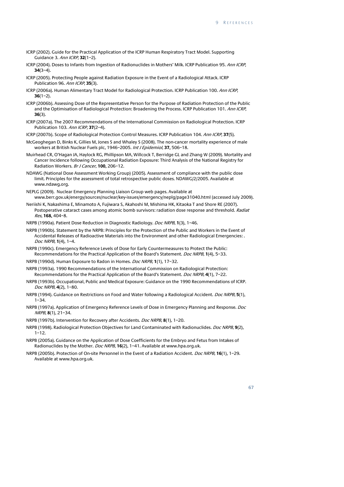- ICRP (2002). Guide for the Practical Application of the ICRP Human Respiratory Tract Model. Supporting Guidance 3. Ann ICRP, **32**(1–2).
- ICRP (2004). Doses to Infants from Ingestion of Radionuclides in Mothers' Milk. ICRP Publication 95. Ann ICRP, **34**(3–4).
- ICRP (2005). Protecting People against Radiation Exposure in the Event of a Radiological Attack. ICRP Publication 96. Ann ICRP, **35**(3).
- ICRP (2006a). Human Alimentary Tract Model for Radiological Protection. ICRP Publication 100. Ann ICRP, **36**(1–2).
- ICRP (2006b). Assessing Dose of the Representative Person for the Purpose of Radiation Protection of the Public and the Optimisation of Radiological Protection: Broadening the Process. ICRP Publication 101. Ann ICRP, **36**(3).
- ICRP (2007a). The 2007 Recommendations of the International Commission on Radiological Protection. ICRP Publication 103. Ann ICRP, **37**(2–4).
- ICRP (2007b). Scope of Radiological Protection Control Measures. ICRP Publication 104. Ann ICRP, **37**(5).
- McGeoghegan D, Binks K, Gillies M, Jones S and Whaley S (2008). The non-cancer mortality experience of male workers at British Nuclear Fuels plc, 1946–2005. Int J Epidemiol, **37,** 506–18.
- Muirhead CR, O'Hagan JA, Haylock RG, Phillipson MA, Willcock T, Berridge GL and Zhang W (2009). Mortality and Cancer Incidence following Occupational Radiation Exposure: Third Analysis of the National Registry for Radiation Workers. Br J Cancer, **100,** 206–12.
- NDAWG (National Dose Assessment Working Group) (2005). Assessment of compliance with the public dose limit. Principles for the assessment of total retrospective public doses. NDAWG/2/2005. Available at www.ndawg.org.
- NEPLG (2009). Nuclear Emergency Planning Liaison Group web pages. Available at www.berr.gov.uk/energy/sources/nuclear/key-issues/emergency/neplg/page31040.html (accessed July 2009).
- Neriishi K, Nakashima E, Minamoto A, Fujiwara S, Akahoshi M, Mishima HK, Kitaoka T and Shore RE (2007). Postoperative cataract cases among atomic bomb survivors: radiation dose response and threshold. Radiat Res, **168,** 404–8.
- NRPB (1990a). Patient Dose Reduction in Diagnostic Radiology. Doc NRPB, **1**(3), 1–46.
- NRPB (1990b). Statement by the NRPB: Principles for the Protection of the Public and Workers in the Event of Accidental Releases of Radioactive Materials into the Environment and other Radiological Emergencies: . Doc NRPB, **1**(4), 1–4.
- NRPB (1990c). Emergency Reference Levels of Dose for Early Countermeasures to Protect the Public: Recommendations for the Practical Application of the Board's Statement. Doc NRPB, **1**(4), 5–33.
- NRPB (1990d). Human Exposure to Radon in Homes. Doc NRPB, **1**(1), 17–32.
- NRPB (1993a). 1990 Recommendations of the International Commission on Radiological Protection: Recommendations for the Practical Application of the Board's Statement. Doc NRPB, **4**(1), 7–22.
- NRPB (1993b). Occupational, Public and Medical Exposure: Guidance on the 1990 Recommendations of ICRP. Doc NRPB, **4**(2), 1–80.
- NRPB (1994). Guidance on Restrictions on Food and Water following a Radiological Accident. Doc NRPB, **5**(1), 1–34.
- NRPB (1997a). Application of Emergency Reference Levels of Dose in Emergency Planning and Response. *Doc* NRPB, **8**(1), 21–34.
- NRPB (1997b). Intervention for Recovery after Accidents. Doc NRPB, **8**(1), 1–20.
- NRPB (1998). Radiological Protection Objectives for Land Contaminated with Radionuclides. Doc NRPB, **9**(2), 1–12.
- NRPB (2005a). Guidance on the Application of Dose Coefficients for the Embryo and Fetus from Intakes of Radionuclides by the Mother. Doc NRPB, **16**(2), 1–41. Available at www.hpa.org.uk.
- NRPB (2005b). Protection of On-site Personnel in the Event of a Radiation Accident. Doc NRPB, **16**(1), 1–29. Available at www.hpa.org.uk.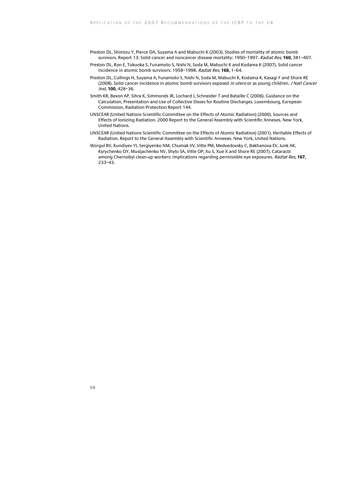- Preston DL, Shimizu Y, Pierce DA, Suyama A and Mabuchi K (2003). Studies of mortality of atomic bomb survivors. Report 13: Solid cancer and noncancer disease mortality: 1950–1997. Radiat Res, **160,** 381–407.
- Preston DL, Ron E, Tokuoka S, Funamoto S, Nishi N, Soda M, Mabuchi K and Kodama K (2007). Solid cancer incidence in atomic bomb survivors: 1958–1998. Radiat Res, **168,** 1–64.
- Preston DL, Cullings H, Suyama A, Funamoto S, Nishi N, Soda M, Mabuchi K, Kodama K, Kasagi F and Shore RE (2008). Solid cancer incidence in atomic bomb survivors exposed *in utero* or as young children. *J Natl Cancer* Inst, **100,** 428–36.
- Smith KR, Bexon AP, Sihra K, Simmonds JR, Lochard J, Schneider T and Bataille C (2006). Guidance on the Calculation, Presentation and Use of Collective Doses for Routine Discharges. Luxembourg, European Commission, Radiation Protection Report 144.
- UNSCEAR (United Nations Scientific Committee on the Effects of Atomic Radiation) (2000). Sources and Effects of Ionizing Radiation. 2000 Report to the General Assembly with Scientific Annexes. New York, United Nations.
- UNSCEAR (United Nations Scientific Committee on the Effects of Atomic Radiation) (2001). Heritable Effects of Radiation. Report to the General Assembly with Scientific Annexes. New York, United Nations.
- Worgul BV, Kundiyev YI, Sergiyenko NM, Chumak VV, Vitte PM, Medvedovsky C, Bakhanova EV, Junk AK, Kyrychenko OY, Musijachenko NV, Shylo SA, Vitte OP, Xu S, Xue X and Shore RE (2007). Cataracts among Chernobyl clean-up workers: implications regarding permissible eye exposures. Radiat Res, **167,** 233–43.